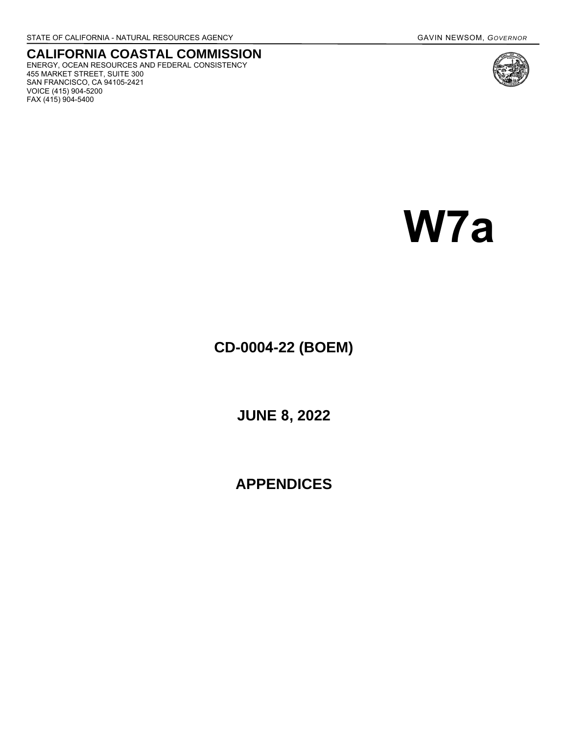455 MARKET STREET, SUITE 300 SAN FRANCISCO, CA 94105-2421

VOICE (415) 904-5200 FAX (415) 904-5400

**CALIFORNIA COASTAL COMMISSION** ENERGY, OCEAN RESOURCES AND FEDERAL CONSISTENCY

# **W7a**

# **CD-0004-22 (BOEM)**

**JUNE 8, 2022** 

**APPENDICES**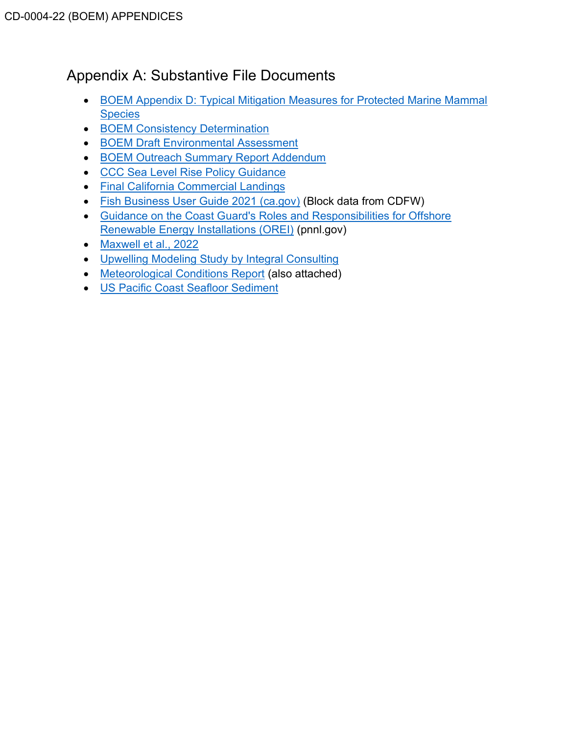# Appendix A: Substantive File Documents

- [BOEM Appendix D: Typical Mitigation Measures for Protected Marine Mammal](https://www.boem.gov/sites/default/files/documents/renewable-energy/state-activities/Appendix-D-Typical-Mitigation-Measures-for-Protected-Marine-Mammal-Species.pdf) **[Species](https://www.boem.gov/sites/default/files/documents/renewable-energy/state-activities/Appendix-D-Typical-Mitigation-Measures-for-Protected-Marine-Mammal-Species.pdf)**
- [BOEM Consistency Determination](https://documents.coastal.ca.gov/assets/upcoming-projects/offshore-wind/BOEMs-Consistency-Determination.pdf)
- [BOEM Draft Environmental Assessment](https://www.boem.gov/sites/default/files/documents/renewable-energy/state-activities/Morro-Bay-WEA-Draft-EA.pdf)
- [BOEM Outreach Summary Report Addendum](https://www.boem.gov/sites/default/files/documents/renewable-energy/state-activities/Offshore-Wind-Outreach-Addendum.pdf)
- [CCC Sea Level Rise Policy Guidance](https://documents.coastal.ca.gov/assets/slr/guidance/2018/0_Full_2018AdoptedSLRGuidanceUpdate.pdf)
- [Final California Commercial Landings](https://wildlife.ca.gov/Fishing/Commercial/Landings#260042586-2019)
- [Fish Business User Guide 2021 \(ca.gov\)](https://nrm.dfg.ca.gov/FileHandler.ashx?DocumentID=165689&inline) (Block data from CDFW)
- [Guidance on the Coast Guard's Roles and Responsibilities for Offshore](https://tethys.pnnl.gov/sites/default/files/publications/USCG-2007.pdf) [Renewable Energy Installations \(OREI\)](https://tethys.pnnl.gov/sites/default/files/publications/USCG-2007.pdf) (pnnl.gov)
- Maxwell [et al., 2022](https://www.researchgate.net/publication/358107242_Potential_impacts_of_floating_wind_turbine_technology_for_marine_species_and_habitats)
- [Upwelling Modeling Study by Integral Consulting](https://www.opc.ca.gov/webmaster/_media_library/2022/02/C0210404_FinalReport_12312021.pdf)
- [Meteorological Conditions Report](https://www.boem.gov/sites/default/files/documents/regions/pacific-ocs-region/renewable-energy/Morro%20Diablo%20Call%20Area%20Met%20Report.pdf) (also attached)
- [US Pacific Coast Seafloor Sediment](https://caoffshorewind.databasin.org/datasets/c9117302f7be44cba2aa0b4182e84dc7/)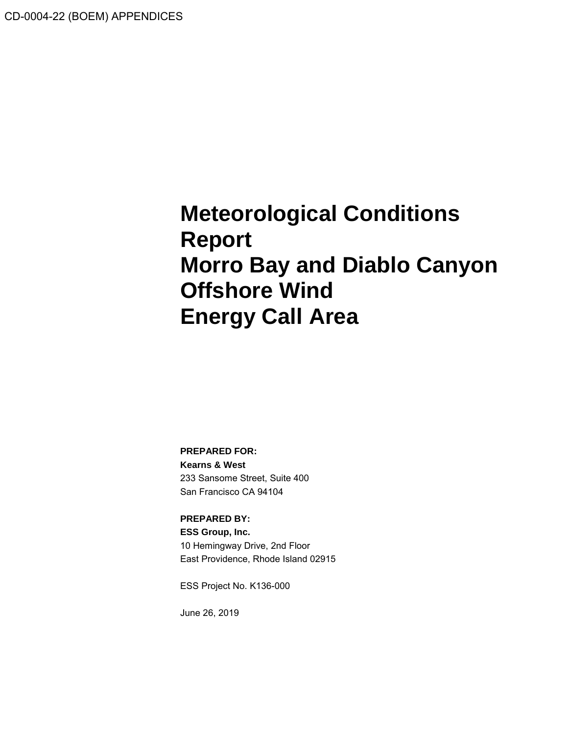# **Meteorological Conditions Report Morro Bay and Diablo Canyon Offshore Wind Energy Call Area**

**PREPARED FOR:**

**Kearns & West** 233 Sansome Street, Suite 400 San Francisco CA 94104

**PREPARED BY: ESS Group, Inc.** 10 Hemingway Drive, 2nd Floor East Providence, Rhode Island 02915

ESS Project No. K136-000

June 26, 2019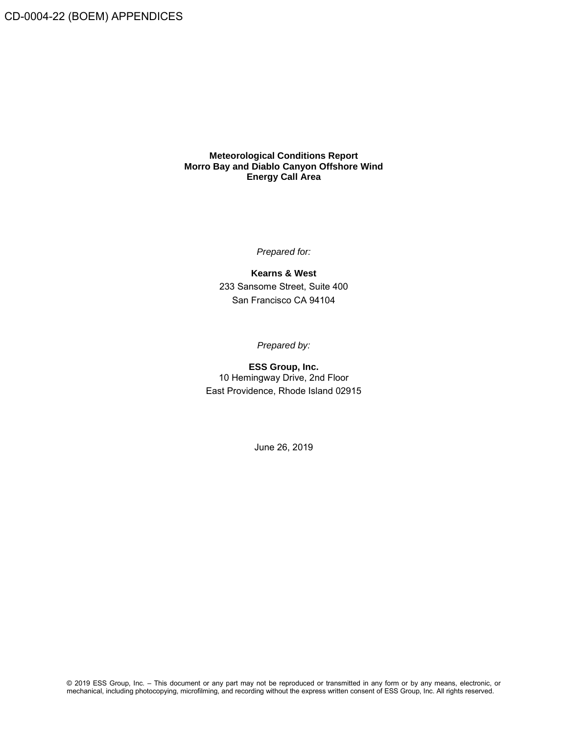CD-0004-22 (BOEM) APPENDICES

#### **Meteorological Conditions Report Morro Bay and Diablo Canyon Offshore Wind Energy Call Area**

*Prepared for:*

**Kearns & West** 233 Sansome Street, Suite 400 San Francisco CA 94104

*Prepared by:*

**ESS Group, Inc.** 10 Hemingway Drive, 2nd Floor East Providence, Rhode Island 02915

June 26, 2019

© 2019 ESS Group, Inc. – This document or any part may not be reproduced or transmitted in any form or by any means, electronic, or mechanical, including photocopying, microfilming, and recording without the express written consent of ESS Group, Inc. All rights reserved.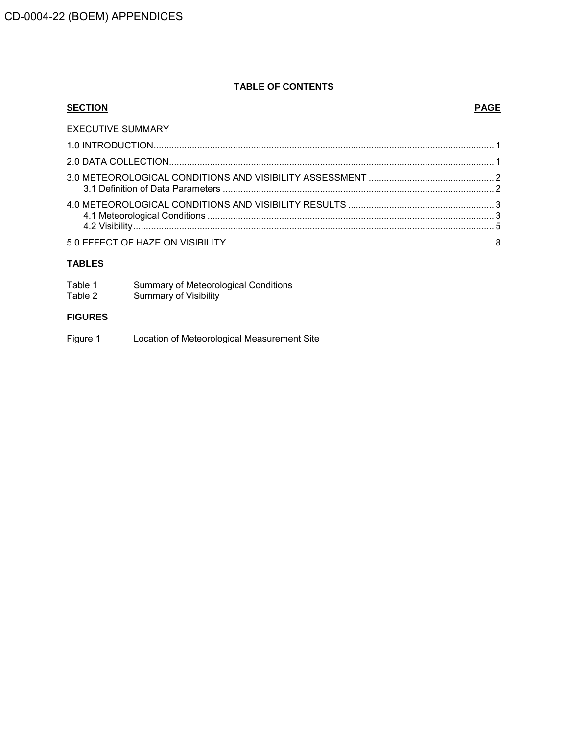### **TABLE OF CONTENTS**

# **SECTION PAGE** EXECUTIVE SUMMARY 1.0 [INTRODUCTION.....................................................................................................................................](#page-5-0) 1 2.0 [DATA COLLECTION...............................................................................................................................](#page-5-1) 1 3.0 [METEOROLOGICAL CONDITIONS AND VISIBILITY ASSESSMENT](#page-6-0) ................................................. 2 3.1 Definition of Data Parameters [..........................................................................................................](#page-6-1) 2 4.0 [METEOROLOGICAL CONDITIONS AND VISIBILITY RESULTS](#page-7-0) ......................................................... 3 4.1 Meteorological Conditions [................................................................................................................](#page-7-1) 3 4.2 [Visibility.............................................................................................................................................](#page-9-0) 5 5.0 EFFECT OF HAZE ON VISIBILITY [........................................................................................................](#page-12-0) 8 **TABLES**

| Table 1 | Summary of Meteorological Conditions |
|---------|--------------------------------------|
| Table 2 | <b>Summary of Visibility</b>         |

### **FIGURES**

Figure 1 Location of Meteorological Measurement Site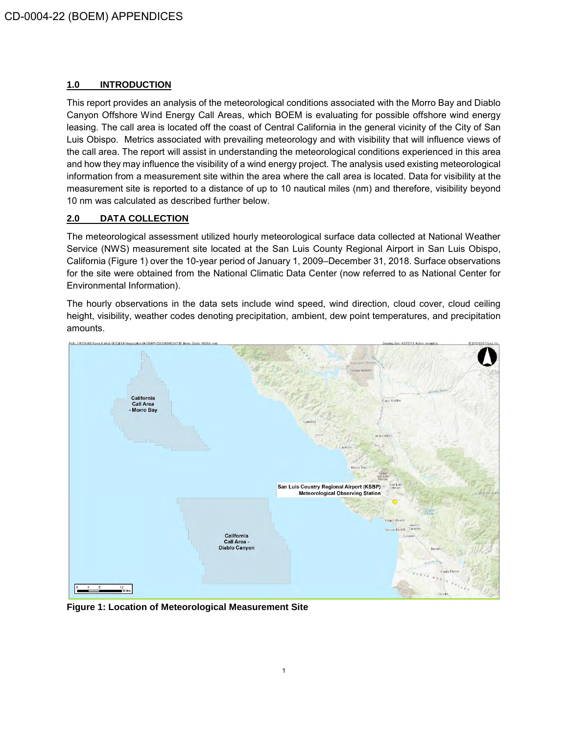#### <span id="page-5-0"></span>**1.0 INTRODUCTION**

This report provides an analysis of the meteorological conditions associated with the Morro Bay and Diablo Canyon Offshore Wind Energy Call Areas, which BOEM is evaluating for possible offshore wind energy leasing. The call area is located off the coast of Central California in the general vicinity of the City of San Luis Obispo. Metrics associated with prevailing meteorology and with visibility that will influence views of the call area. The report will assist in understanding the meteorological conditions experienced in this area and how they may influence the visibility of a wind energy project. The analysis used existing meteorological information from a measurement site within the area where the call area is located. Data for visibility at the measurement site is reported to a distance of up to 10 nautical miles (nm) and therefore, visibility beyond 10 nm was calculated as described further below.

#### <span id="page-5-1"></span>**2.0 DATA COLLECTION**

The meteorological assessment utilized hourly meteorological surface data collected at National Weather Service (NWS) measurement site located at the San Luis County Regional Airport in San Luis Obispo, California (Figure 1) over the 10-year period of January 1, 2009–December 31, 2018. Surface observations for the site were obtained from the National Climatic Data Center (now referred to as National Center for Environmental Information).

The hourly observations in the data sets include wind speed, wind direction, cloud cover, cloud ceiling height, visibility, weather codes denoting precipitation, ambient, dew point temperatures, and precipitation amounts.



**Figure 1: Location of Meteorological Measurement Site**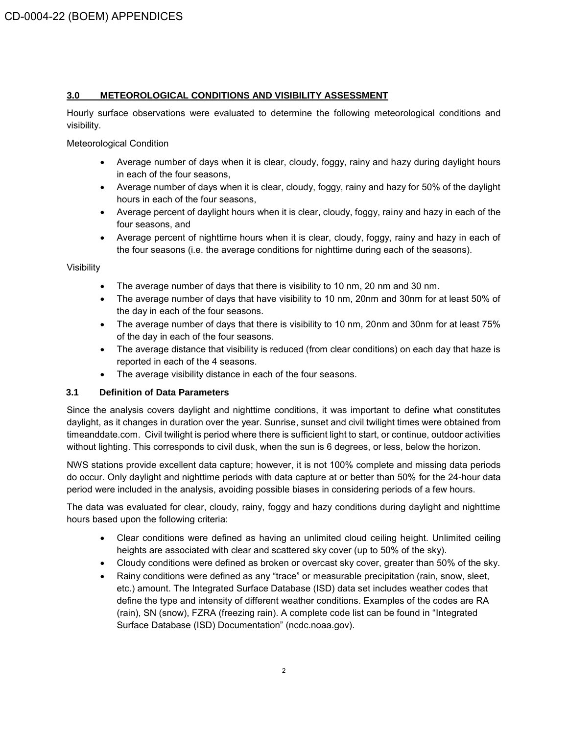#### <span id="page-6-0"></span>**3.0 METEOROLOGICAL CONDITIONS AND VISIBILITY ASSESSMENT**

Hourly surface observations were evaluated to determine the following meteorological conditions and visibility.

Meteorological Condition

- Average number of days when it is clear, cloudy, foggy, rainy and hazy during daylight hours in each of the four seasons,
- Average number of days when it is clear, cloudy, foggy, rainy and hazy for 50% of the daylight hours in each of the four seasons,
- Average percent of daylight hours when it is clear, cloudy, foggy, rainy and hazy in each of the four seasons, and
- Average percent of nighttime hours when it is clear, cloudy, foggy, rainy and hazy in each of the four seasons (i.e. the average conditions for nighttime during each of the seasons).

Visibility

- The average number of days that there is visibility to 10 nm, 20 nm and 30 nm.
- The average number of days that have visibility to 10 nm, 20nm and 30nm for at least 50% of the day in each of the four seasons.
- The average number of days that there is visibility to 10 nm, 20nm and 30nm for at least 75% of the day in each of the four seasons.
- The average distance that visibility is reduced (from clear conditions) on each day that haze is reported in each of the 4 seasons.
- <span id="page-6-1"></span>• The average visibility distance in each of the four seasons.

#### **3.1 Definition of Data Parameters**

Since the analysis covers daylight and nighttime conditions, it was important to define what constitutes daylight, as it changes in duration over the year. Sunrise, sunset and civil twilight times were obtained from timeanddate.com. Civil twilight is period where there is sufficient light to start, or continue, outdoor activities without lighting. This corresponds to civil dusk, when the sun is 6 degrees, or less, below the horizon.

NWS stations provide excellent data capture; however, it is not 100% complete and missing data periods do occur. Only daylight and nighttime periods with data capture at or better than 50% for the 24-hour data period were included in the analysis, avoiding possible biases in considering periods of a few hours.

The data was evaluated for clear, cloudy, rainy, foggy and hazy conditions during daylight and nighttime hours based upon the following criteria:

- Clear conditions were defined as having an unlimited cloud ceiling height. Unlimited ceiling heights are associated with clear and scattered sky cover (up to 50% of the sky).
- Cloudy conditions were defined as broken or overcast sky cover, greater than 50% of the sky.
- Rainy conditions were defined as any "trace" or measurable precipitation (rain, snow, sleet, etc.) amount. The Integrated Surface Database (ISD) data set includes weather codes that define the type and intensity of different weather conditions. Examples of the codes are RA (rain), SN (snow), FZRA (freezing rain). A complete code list can be found in "Integrated Surface Database (ISD) Documentation" (ncdc.noaa.gov).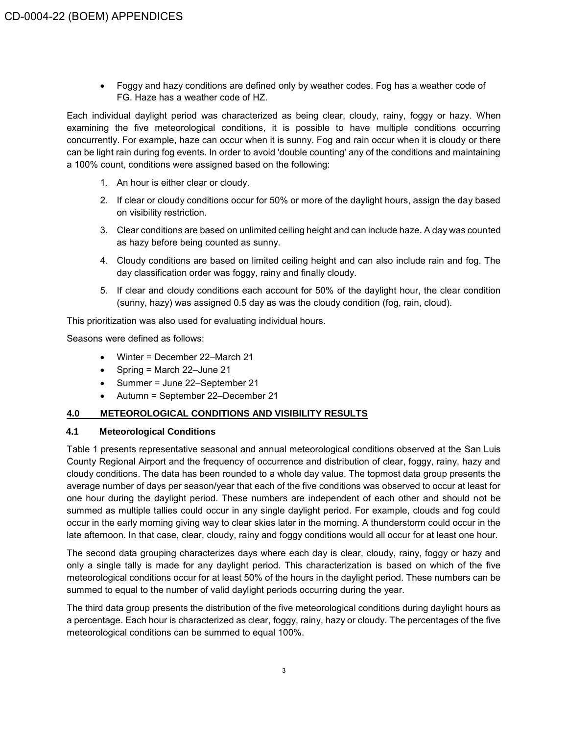• Foggy and hazy conditions are defined only by weather codes. Fog has a weather code of FG. Haze has a weather code of HZ.

Each individual daylight period was characterized as being clear, cloudy, rainy, foggy or hazy. When examining the five meteorological conditions, it is possible to have multiple conditions occurring concurrently. For example, haze can occur when it is sunny. Fog and rain occur when it is cloudy or there can be light rain during fog events. In order to avoid 'double counting' any of the conditions and maintaining a 100% count, conditions were assigned based on the following:

- 1. An hour is either clear or cloudy.
- 2. If clear or cloudy conditions occur for 50% or more of the daylight hours, assign the day based on visibility restriction.
- 3. Clear conditions are based on unlimited ceiling height and can include haze. A day was counted as hazy before being counted as sunny.
- 4. Cloudy conditions are based on limited ceiling height and can also include rain and fog. The day classification order was foggy, rainy and finally cloudy.
- 5. If clear and cloudy conditions each account for 50% of the daylight hour, the clear condition (sunny, hazy) was assigned 0.5 day as was the cloudy condition (fog, rain, cloud).

This prioritization was also used for evaluating individual hours.

Seasons were defined as follows:

- Winter = December 22–March 21
- Spring = March 22-June 21
- Summer = June 22–September 21
- <span id="page-7-0"></span>• Autumn = September 22–December 21

#### **4.0 METEOROLOGICAL CONDITIONS AND VISIBILITY RESULTS**

#### <span id="page-7-1"></span>**4.1 Meteorological Conditions**

Table 1 presents representative seasonal and annual meteorological conditions observed at the San Luis County Regional Airport and the frequency of occurrence and distribution of clear, foggy, rainy, hazy and cloudy conditions. The data has been rounded to a whole day value. The topmost data group presents the average number of days per season/year that each of the five conditions was observed to occur at least for one hour during the daylight period. These numbers are independent of each other and should not be summed as multiple tallies could occur in any single daylight period. For example, clouds and fog could occur in the early morning giving way to clear skies later in the morning. A thunderstorm could occur in the late afternoon. In that case, clear, cloudy, rainy and foggy conditions would all occur for at least one hour.

The second data grouping characterizes days where each day is clear, cloudy, rainy, foggy or hazy and only a single tally is made for any daylight period. This characterization is based on which of the five meteorological conditions occur for at least 50% of the hours in the daylight period. These numbers can be summed to equal to the number of valid daylight periods occurring during the year.

The third data group presents the distribution of the five meteorological conditions during daylight hours as a percentage. Each hour is characterized as clear, foggy, rainy, hazy or cloudy. The percentages of the five meteorological conditions can be summed to equal 100%.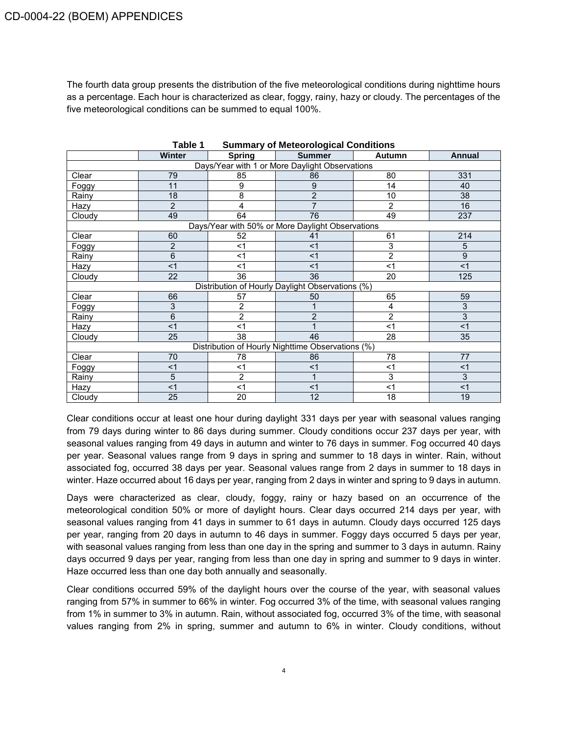The fourth data group presents the distribution of the five meteorological conditions during nighttime hours as a percentage. Each hour is characterized as clear, foggy, rainy, hazy or cloudy. The percentages of the five meteorological conditions can be summed to equal 100%.

| <b>Laule</b> L<br><b>Summary or meteorological Conditions</b> |                                                |                |                                                   |                |        |  |  |
|---------------------------------------------------------------|------------------------------------------------|----------------|---------------------------------------------------|----------------|--------|--|--|
|                                                               | Winter                                         | <b>Spring</b>  | <b>Summer</b>                                     | Autumn         | Annual |  |  |
|                                                               | Days/Year with 1 or More Daylight Observations |                |                                                   |                |        |  |  |
| Clear                                                         | 79                                             | 85             | 86                                                | 80             | 331    |  |  |
| Foggy                                                         | 11                                             | 9              | 9                                                 | 14             | 40     |  |  |
| Rainy                                                         | 18                                             | 8              | 2                                                 | 10             | 38     |  |  |
| Hazy                                                          | $\overline{2}$                                 | 4              | 7                                                 | 2              | 16     |  |  |
| Cloudy                                                        | 49                                             | 64             | 76                                                | 49             | 237    |  |  |
|                                                               |                                                |                | Days/Year with 50% or More Daylight Observations  |                |        |  |  |
| Clear                                                         | 60                                             | 52             | 41                                                | 61             | 214    |  |  |
| Foggy                                                         | $\overline{2}$                                 | $<$ 1          | $<$ 1                                             | 3              | 5      |  |  |
| Rainy                                                         | 6                                              | $<$ 1          | $<$ 1                                             | $\overline{2}$ | 9      |  |  |
| Hazy                                                          | < 1                                            | $<$ 1          | $<$ 1                                             | $<$ 1          | <1     |  |  |
| Cloudy                                                        | 22                                             | 36             | 36                                                | 20             | 125    |  |  |
|                                                               |                                                |                | Distribution of Hourly Daylight Observations (%)  |                |        |  |  |
| Clear                                                         | 66                                             | 57             | 50                                                | 65             | 59     |  |  |
| Foggy                                                         | 3                                              | 2              |                                                   | $\overline{4}$ | 3      |  |  |
| Rainy                                                         | 6                                              | $\overline{c}$ | $\overline{2}$                                    | $\overline{c}$ | 3      |  |  |
| Hazy                                                          | <1                                             | $<$ 1          |                                                   | $<$ 1          | < 1    |  |  |
| Cloudy                                                        | 25                                             | 38             | 46                                                | 28             | 35     |  |  |
|                                                               |                                                |                | Distribution of Hourly Nighttime Observations (%) |                |        |  |  |
| Clear                                                         | 70                                             | 78             | 86                                                | 78             | 77     |  |  |
| Foggy                                                         | $<$ 1                                          | $<$ 1          | $<$ 1                                             | $<$ 1          | $<$ 1  |  |  |
| Rainy                                                         | $\overline{5}$                                 | $\overline{2}$ |                                                   | 3              | 3      |  |  |
| Hazy                                                          | <1                                             | $<$ 1          | $<$ 1                                             | $<$ 1          | $<$ 1  |  |  |
| Cloudy                                                        | 25                                             | 20             | 12                                                | 18             | 19     |  |  |

| Table 1<br><b>Summary of Meteorological Conditions</b> |  |
|--------------------------------------------------------|--|
|--------------------------------------------------------|--|

Clear conditions occur at least one hour during daylight 331 days per year with seasonal values ranging from 79 days during winter to 86 days during summer. Cloudy conditions occur 237 days per year, with seasonal values ranging from 49 days in autumn and winter to 76 days in summer. Fog occurred 40 days per year. Seasonal values range from 9 days in spring and summer to 18 days in winter. Rain, without associated fog, occurred 38 days per year. Seasonal values range from 2 days in summer to 18 days in winter. Haze occurred about 16 days per year, ranging from 2 days in winter and spring to 9 days in autumn.

Days were characterized as clear, cloudy, foggy, rainy or hazy based on an occurrence of the meteorological condition 50% or more of daylight hours. Clear days occurred 214 days per year, with seasonal values ranging from 41 days in summer to 61 days in autumn. Cloudy days occurred 125 days per year, ranging from 20 days in autumn to 46 days in summer. Foggy days occurred 5 days per year, with seasonal values ranging from less than one day in the spring and summer to 3 days in autumn. Rainy days occurred 9 days per year, ranging from less than one day in spring and summer to 9 days in winter. Haze occurred less than one day both annually and seasonally.

Clear conditions occurred 59% of the daylight hours over the course of the year, with seasonal values ranging from 57% in summer to 66% in winter. Fog occurred 3% of the time, with seasonal values ranging from 1% in summer to 3% in autumn. Rain, without associated fog, occurred 3% of the time, with seasonal values ranging from 2% in spring, summer and autumn to 6% in winter. Cloudy conditions, without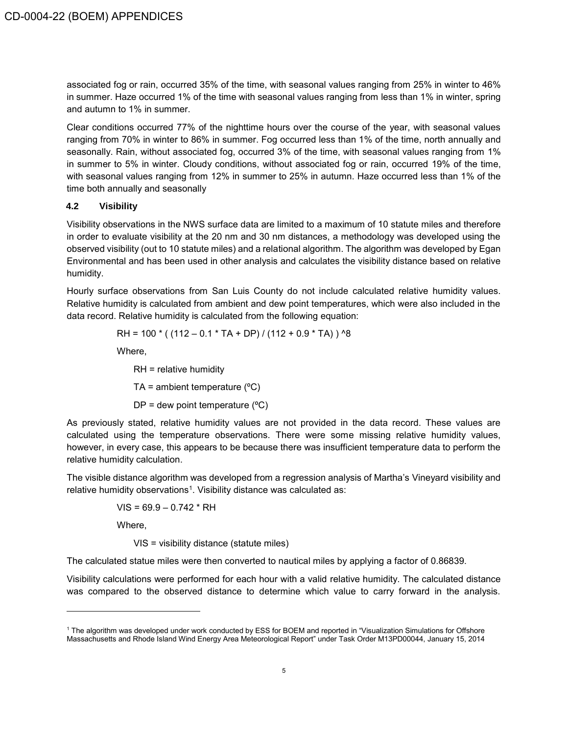associated fog or rain, occurred 35% of the time, with seasonal values ranging from 25% in winter to 46% in summer. Haze occurred 1% of the time with seasonal values ranging from less than 1% in winter, spring and autumn to 1% in summer.

Clear conditions occurred 77% of the nighttime hours over the course of the year, with seasonal values ranging from 70% in winter to 86% in summer. Fog occurred less than 1% of the time, north annually and seasonally. Rain, without associated fog, occurred 3% of the time, with seasonal values ranging from 1% in summer to 5% in winter. Cloudy conditions, without associated fog or rain, occurred 19% of the time, with seasonal values ranging from 12% in summer to 25% in autumn. Haze occurred less than 1% of the time both annually and seasonally

#### <span id="page-9-0"></span>**4.2 Visibility**

Visibility observations in the NWS surface data are limited to a maximum of 10 statute miles and therefore in order to evaluate visibility at the 20 nm and 30 nm distances, a methodology was developed using the observed visibility (out to 10 statute miles) and a relational algorithm. The algorithm was developed by Egan Environmental and has been used in other analysis and calculates the visibility distance based on relative humidity.

Hourly surface observations from San Luis County do not include calculated relative humidity values. Relative humidity is calculated from ambient and dew point temperatures, which were also included in the data record. Relative humidity is calculated from the following equation:

$$
RH = 100 * ((112 - 0.1 * TA + DP) / (112 + 0.9 * TA)) \text{'}8
$$

Where,

RH = relative humidity TA = ambient temperature  $(^{\circ}C)$  $DP =$  dew point temperature ( $°C$ )

As previously stated, relative humidity values are not provided in the data record. These values are calculated using the temperature observations. There were some missing relative humidity values, however, in every case, this appears to be because there was insufficient temperature data to perform the relative humidity calculation.

The visible distance algorithm was developed from a regression analysis of Martha's Vineyard visibility and relative humidity observations<sup>1</sup>. Visibility distance was calculated as:

 $VIS = 69.9 - 0.742 * RH$ 

Where,

VIS = visibility distance (statute miles)

The calculated statue miles were then converted to nautical miles by applying a factor of 0.86839.

Visibility calculations were performed for each hour with a valid relative humidity. The calculated distance was compared to the observed distance to determine which value to carry forward in the analysis.

<sup>1</sup> The algorithm was developed under work conducted by ESS for BOEM and reported in "Visualization Simulations for Offshore Massachusetts and Rhode Island Wind Energy Area Meteorological Report" under Task Order M13PD00044, January 15, 2014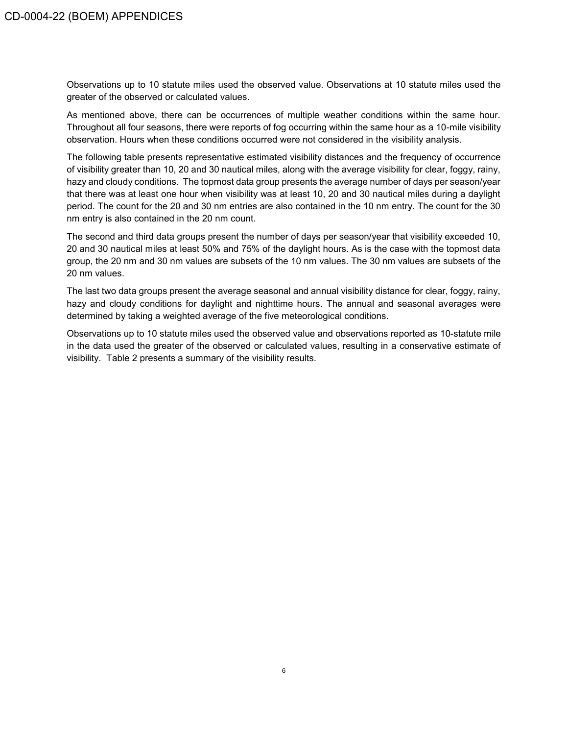Observations up to 10 statute miles used the observed value. Observations at 10 statute miles used the greater of the observed or calculated values.

As mentioned above, there can be occurrences of multiple weather conditions within the same hour. Throughout all four seasons, there were reports of fog occurring within the same hour as a 10-mile visibility observation. Hours when these conditions occurred were not considered in the visibility analysis.

The following table presents representative estimated visibility distances and the frequency of occurrence of visibility greater than 10, 20 and 30 nautical miles, along with the average visibility for clear, foggy, rainy, hazy and cloudy conditions. The topmost data group presents the average number of days per season/year that there was at least one hour when visibility was at least 10, 20 and 30 nautical miles during a daylight period. The count for the 20 and 30 nm entries are also contained in the 10 nm entry. The count for the 30 nm entry is also contained in the 20 nm count.

The second and third data groups present the number of days per season/year that visibility exceeded 10, 20 and 30 nautical miles at least 50% and 75% of the daylight hours. As is the case with the topmost data group, the 20 nm and 30 nm values are subsets of the 10 nm values. The 30 nm values are subsets of the 20 nm values.

The last two data groups present the average seasonal and annual visibility distance for clear, foggy, rainy, hazy and cloudy conditions for daylight and nighttime hours. The annual and seasonal averages were determined by taking a weighted average of the five meteorological conditions.

Observations up to 10 statute miles used the observed value and observations reported as 10-statute mile in the data used the greater of the observed or calculated values, resulting in a conservative estimate of visibility. Table 2 presents a summary of the visibility results.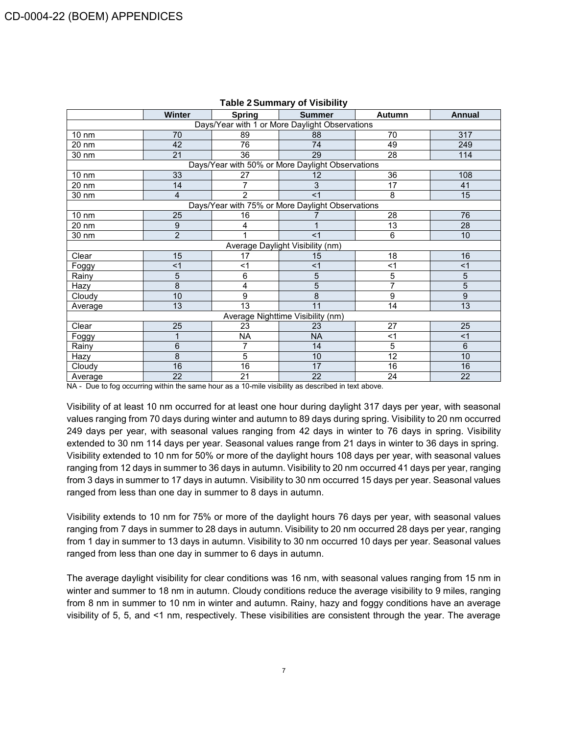|                                                | Winter         | <b>Spring</b>   | <b>Summer</b>                                    | Autumn | Annual         |  |
|------------------------------------------------|----------------|-----------------|--------------------------------------------------|--------|----------------|--|
| Days/Year with 1 or More Daylight Observations |                |                 |                                                  |        |                |  |
| $10 \text{ nm}$                                | 70             | 89              | 88                                               | 70     | 317            |  |
| 20 nm                                          | 42             | 76              | 74                                               | 49     | 249            |  |
| 30 nm                                          | 21             | 36              | 29                                               | 28     | 114            |  |
|                                                |                |                 | Days/Year with 50% or More Daylight Observations |        |                |  |
| $10 \text{ nm}$                                | 33             | 27              | 12                                               | 36     | 108            |  |
| 20 nm                                          | 14             | 7               | 3                                                | 17     | 41             |  |
| 30 nm                                          | 4              | $\overline{2}$  | $<$ 1                                            | 8      | 15             |  |
|                                                |                |                 | Days/Year with 75% or More Daylight Observations |        |                |  |
| 10 nm                                          | 25             | 16              |                                                  | 28     | 76             |  |
| $20 \text{ nm}$                                | 9              | 4               |                                                  | 13     | 28             |  |
| 30 nm                                          | $\overline{2}$ | 4               | $<$ 1                                            | 6      | 10             |  |
|                                                |                |                 | Average Daylight Visibility (nm)                 |        |                |  |
| Clear                                          | 15             | 17              | 15                                               | 18     | 16             |  |
| Foggy                                          | $<$ 1          | <1              | $<$ 1                                            | $<$ 1  | $<$ 1          |  |
| Rainy                                          | 5              | 6               | 5                                                | 5      | 5              |  |
| Hazy                                           | 8              | 4               | 5                                                | 7      | 5              |  |
| Cloudy                                         | 10             | 9               | 8                                                | 9      | 9              |  |
| Average                                        | 13             | $\overline{13}$ | 11                                               | 14     | 13             |  |
| Average Nighttime Visibility (nm)              |                |                 |                                                  |        |                |  |
| Clear                                          | 25             | 23              | 23                                               | 27     | 25             |  |
| Foggy                                          |                | <b>NA</b>       | <b>NA</b>                                        | $<$ 1  | <1             |  |
| Rainy                                          | 6              | 7               | 14                                               | 5      | $6\phantom{1}$ |  |
| Hazy                                           | 8              | 5               | 10                                               | 12     | 10             |  |
| Cloudy                                         | 16             | 16              | 17                                               | 16     | 16             |  |
| Average                                        | 22             | 21              | 22                                               | 24     | 22             |  |

#### **Table 2Summary of Visibility**

NA - Due to fog occurring within the same hour as a 10-mile visibility as described in text above.

Visibility of at least 10 nm occurred for at least one hour during daylight 317 days per year, with seasonal values ranging from 70 days during winter and autumn to 89 days during spring. Visibility to 20 nm occurred 249 days per year, with seasonal values ranging from 42 days in winter to 76 days in spring. Visibility extended to 30 nm 114 days per year. Seasonal values range from 21 days in winter to 36 days in spring. Visibility extended to 10 nm for 50% or more of the daylight hours 108 days per year, with seasonal values ranging from 12 days in summer to 36 days in autumn. Visibility to 20 nm occurred 41 days per year, ranging from 3 days in summer to 17 days in autumn. Visibility to 30 nm occurred 15 days per year. Seasonal values ranged from less than one day in summer to 8 days in autumn.

Visibility extends to 10 nm for 75% or more of the daylight hours 76 days per year, with seasonal values ranging from 7 days in summer to 28 days in autumn. Visibility to 20 nm occurred 28 days per year, ranging from 1 day in summer to 13 days in autumn. Visibility to 30 nm occurred 10 days per year. Seasonal values ranged from less than one day in summer to 6 days in autumn.

The average daylight visibility for clear conditions was 16 nm, with seasonal values ranging from 15 nm in winter and summer to 18 nm in autumn. Cloudy conditions reduce the average visibility to 9 miles, ranging from 8 nm in summer to 10 nm in winter and autumn. Rainy, hazy and foggy conditions have an average visibility of 5, 5, and <1 nm, respectively. These visibilities are consistent through the year. The average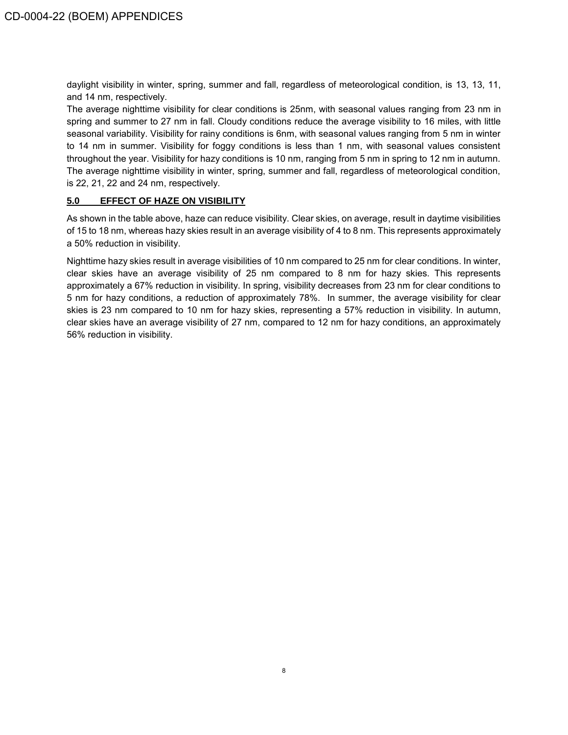daylight visibility in winter, spring, summer and fall, regardless of meteorological condition, is 13, 13, 11, and 14 nm, respectively.

The average nighttime visibility for clear conditions is 25nm, with seasonal values ranging from 23 nm in spring and summer to 27 nm in fall. Cloudy conditions reduce the average visibility to 16 miles, with little seasonal variability. Visibility for rainy conditions is 6nm, with seasonal values ranging from 5 nm in winter to 14 nm in summer. Visibility for foggy conditions is less than 1 nm, with seasonal values consistent throughout the year. Visibility for hazy conditions is 10 nm, ranging from 5 nm in spring to 12 nm in autumn. The average nighttime visibility in winter, spring, summer and fall, regardless of meteorological condition, is 22, 21, 22 and 24 nm, respectively.

#### <span id="page-12-0"></span>**5.0 EFFECT OF HAZE ON VISIBILITY**

As shown in the table above, haze can reduce visibility. Clear skies, on average, result in daytime visibilities of 15 to 18 nm, whereas hazy skies result in an average visibility of 4 to 8 nm. This represents approximately a 50% reduction in visibility.

Nighttime hazy skies result in average visibilities of 10 nm compared to 25 nm for clear conditions. In winter, clear skies have an average visibility of 25 nm compared to 8 nm for hazy skies. This represents approximately a 67% reduction in visibility. In spring, visibility decreases from 23 nm for clear conditions to 5 nm for hazy conditions, a reduction of approximately 78%. In summer, the average visibility for clear skies is 23 nm compared to 10 nm for hazy skies, representing a 57% reduction in visibility. In autumn, clear skies have an average visibility of 27 nm, compared to 12 nm for hazy conditions, an approximately 56% reduction in visibility.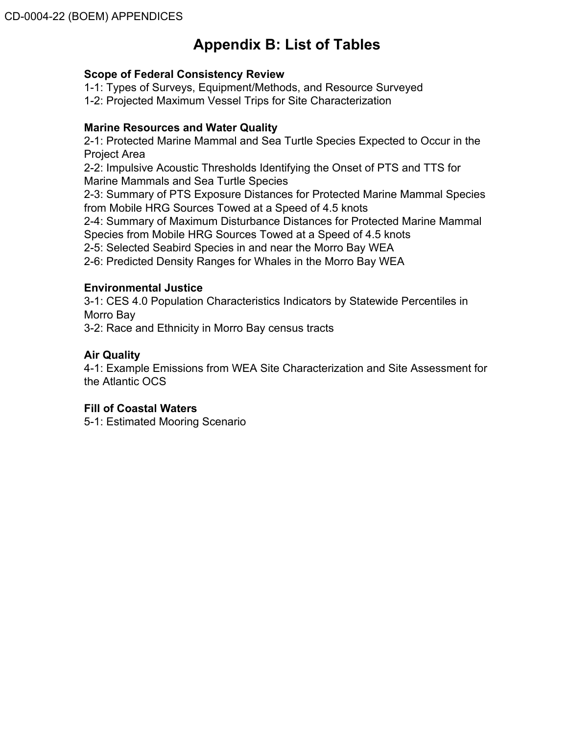# **Appendix B: List of Tables**

# **Scope of Federal Consistency Review**

1-1: Types of Surveys, Equipment/Methods, and Resource Surveyed

1-2: Projected Maximum Vessel Trips for Site Characterization

# **Marine Resources and Water Quality**

2-1: Protected Marine Mammal and Sea Turtle Species Expected to Occur in the Project Area

2-2: Impulsive Acoustic Thresholds Identifying the Onset of PTS and TTS for Marine Mammals and Sea Turtle Species

2-3: Summary of PTS Exposure Distances for Protected Marine Mammal Species from Mobile HRG Sources Towed at a Speed of 4.5 knots

2-4: Summary of Maximum Disturbance Distances for Protected Marine Mammal Species from Mobile HRG Sources Towed at a Speed of 4.5 knots

2-5: Selected Seabird Species in and near the Morro Bay WEA

2-6: Predicted Density Ranges for Whales in the Morro Bay WEA

# **Environmental Justice**

3-1: CES 4.0 Population Characteristics Indicators by Statewide Percentiles in Morro Bay

3-2: Race and Ethnicity in Morro Bay census tracts

# **Air Quality**

4-1: Example Emissions from WEA Site Characterization and Site Assessment for the Atlantic OCS

# **Fill of Coastal Waters**

5-1: Estimated Mooring Scenario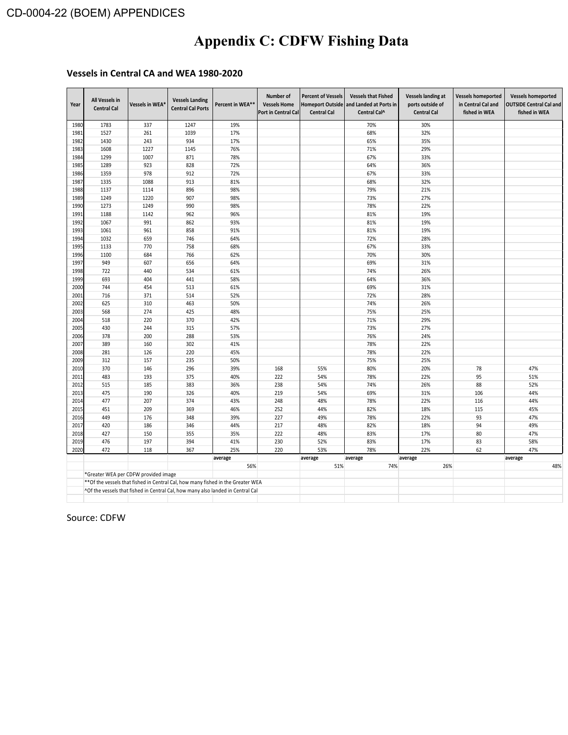# **Appendix C: CDFW Fishing Data**

# **Vessels in Central CA and WEA 1980-2020**

| Year | All Vessels in<br><b>Central Cal</b> | Vessels in WEA <sup>®</sup> | <b>Vessels Landing</b><br><b>Central Cal Ports</b>                               | Percent in WEA** | Number of<br><b>Vessels Home</b><br>Port in Central Cal | <b>Percent of Vessels</b><br><b>Homeport Outside</b><br><b>Central Cal</b> | <b>Vessels that Fished</b><br>and Landed at Ports in<br>Central Cal^ | <b>Vessels landing at</b><br>ports outside of<br><b>Central Cal</b> | <b>Vessels homeported</b><br>in Central Cal and<br>fished in WEA | <b>Vessels homeported</b><br><b>OUTSIDE Central Cal and</b><br>fished in WEA |
|------|--------------------------------------|-----------------------------|----------------------------------------------------------------------------------|------------------|---------------------------------------------------------|----------------------------------------------------------------------------|----------------------------------------------------------------------|---------------------------------------------------------------------|------------------------------------------------------------------|------------------------------------------------------------------------------|
| 1980 | 1783                                 | 337                         | 1247                                                                             | 19%              |                                                         |                                                                            | 70%                                                                  | 30%                                                                 |                                                                  |                                                                              |
| 1981 | 1527                                 | 261                         | 1039                                                                             | 17%              |                                                         |                                                                            | 68%                                                                  | 32%                                                                 |                                                                  |                                                                              |
| 1982 | 1430                                 | 243                         | 934                                                                              | 17%              |                                                         |                                                                            | 65%                                                                  | 35%                                                                 |                                                                  |                                                                              |
| 1983 | 1608                                 | 1227                        | 1145                                                                             | 76%              |                                                         |                                                                            | 71%                                                                  | 29%                                                                 |                                                                  |                                                                              |
| 1984 | 1299                                 | 1007                        | 871                                                                              | 78%              |                                                         |                                                                            | 67%                                                                  | 33%                                                                 |                                                                  |                                                                              |
| 1985 | 1289                                 | 923                         | 828                                                                              | 72%              |                                                         |                                                                            | 64%                                                                  | 36%                                                                 |                                                                  |                                                                              |
| 1986 | 1359                                 | 978                         | 912                                                                              | 72%              |                                                         |                                                                            | 67%                                                                  | 33%                                                                 |                                                                  |                                                                              |
| 1987 | 1335                                 | 1088                        | 913                                                                              | 81%              |                                                         |                                                                            | 68%                                                                  | 32%                                                                 |                                                                  |                                                                              |
| 1988 | 1137                                 | 1114                        | 896                                                                              | 98%              |                                                         |                                                                            | 79%                                                                  | 21%                                                                 |                                                                  |                                                                              |
| 1989 | 1249                                 | 1220                        | 907                                                                              | 98%              |                                                         |                                                                            | 73%                                                                  | 27%                                                                 |                                                                  |                                                                              |
| 1990 | 1273                                 | 1249                        | 990                                                                              | 98%              |                                                         |                                                                            | 78%                                                                  | 22%                                                                 |                                                                  |                                                                              |
| 1991 | 1188                                 | 1142                        | 962                                                                              | 96%              |                                                         |                                                                            | 81%                                                                  | 19%                                                                 |                                                                  |                                                                              |
| 1992 | 1067                                 | 991                         | 862                                                                              | 93%              |                                                         |                                                                            | 81%                                                                  | 19%                                                                 |                                                                  |                                                                              |
| 1993 | 1061                                 | 961                         | 858                                                                              | 91%              |                                                         |                                                                            | 81%                                                                  | 19%                                                                 |                                                                  |                                                                              |
| 1994 | 1032                                 | 659                         | 746                                                                              | 64%              |                                                         |                                                                            | 72%                                                                  | 28%                                                                 |                                                                  |                                                                              |
| 1995 | 1133                                 | 770                         | 758                                                                              | 68%              |                                                         |                                                                            | 67%                                                                  | 33%                                                                 |                                                                  |                                                                              |
| 1996 | 1100                                 | 684                         | 766                                                                              | 62%              |                                                         |                                                                            | 70%                                                                  | 30%                                                                 |                                                                  |                                                                              |
| 1997 | 949                                  | 607                         | 656                                                                              | 64%              |                                                         |                                                                            | 69%                                                                  | 31%                                                                 |                                                                  |                                                                              |
| 1998 | 722                                  | 440                         | 534                                                                              | 61%              |                                                         |                                                                            | 74%                                                                  | 26%                                                                 |                                                                  |                                                                              |
| 1999 | 693                                  | 404                         | 441                                                                              | 58%              |                                                         |                                                                            | 64%                                                                  | 36%                                                                 |                                                                  |                                                                              |
| 2000 | 744                                  | 454                         | 513                                                                              | 61%              |                                                         |                                                                            | 69%                                                                  | 31%                                                                 |                                                                  |                                                                              |
| 2001 | 716                                  | 371                         | 514                                                                              | 52%              |                                                         |                                                                            | 72%                                                                  | 28%                                                                 |                                                                  |                                                                              |
| 2002 | 625                                  | 310                         | 463                                                                              | 50%              |                                                         |                                                                            | 74%                                                                  | 26%                                                                 |                                                                  |                                                                              |
| 2003 | 568                                  | 274                         | 425                                                                              | 48%              |                                                         |                                                                            | 75%                                                                  | 25%                                                                 |                                                                  |                                                                              |
| 2004 | 518                                  | 220                         | 370                                                                              | 42%              |                                                         |                                                                            | 71%                                                                  | 29%                                                                 |                                                                  |                                                                              |
| 2005 | 430                                  | 244                         | 315                                                                              | 57%              |                                                         |                                                                            | 73%                                                                  | 27%                                                                 |                                                                  |                                                                              |
| 2006 | 378                                  | 200                         | 288                                                                              | 53%              |                                                         |                                                                            | 76%                                                                  | 24%                                                                 |                                                                  |                                                                              |
| 2007 | 389                                  | 160                         | 302                                                                              | 41%              |                                                         |                                                                            | 78%                                                                  | 22%                                                                 |                                                                  |                                                                              |
| 2008 | 281                                  | 126                         | 220                                                                              | 45%              |                                                         |                                                                            | 78%                                                                  | 22%                                                                 |                                                                  |                                                                              |
| 2009 | 312                                  | 157                         | 235                                                                              | 50%              |                                                         |                                                                            | 75%                                                                  | 25%                                                                 |                                                                  |                                                                              |
| 2010 | 370                                  | 146                         | 296                                                                              | 39%              | 168                                                     | 55%                                                                        | 80%                                                                  | 20%                                                                 | 78                                                               | 47%                                                                          |
| 2011 | 483                                  | 193                         | 375                                                                              | 40%              | 222                                                     | 54%                                                                        | 78%                                                                  | 22%                                                                 | 95                                                               | 51%                                                                          |
| 2012 | 515                                  | 185                         | 383                                                                              | 36%              | 238                                                     | 54%                                                                        | 74%                                                                  | 26%                                                                 | 88                                                               | 52%                                                                          |
| 2013 | 475                                  | 190                         | 326                                                                              | 40%              | 219                                                     | 54%                                                                        | 69%                                                                  | 31%                                                                 | 106                                                              | 44%                                                                          |
| 2014 | 477                                  | 207                         | 374                                                                              | 43%              | 248                                                     | 48%                                                                        | 78%                                                                  | 22%                                                                 | 116                                                              | 44%                                                                          |
| 2015 | 451                                  | 209                         | 369                                                                              | 46%              | 252                                                     | 44%                                                                        | 82%                                                                  | 18%                                                                 | 115                                                              | 45%                                                                          |
| 2016 | 449                                  | 176                         | 348                                                                              | 39%              | 227                                                     | 49%                                                                        | 78%                                                                  | 22%                                                                 | 93                                                               | 47%                                                                          |
| 2017 | 420                                  | 186                         | 346                                                                              | 44%              | 217                                                     | 48%                                                                        | 82%                                                                  | 18%                                                                 | 94                                                               | 49%                                                                          |
| 2018 | 427                                  | 150                         | 355                                                                              | 35%              | 222                                                     | 48%                                                                        | 83%                                                                  | 17%                                                                 | 80                                                               | 47%                                                                          |
| 2019 | 476                                  | 197                         | 394                                                                              | 41%              | 230                                                     | 52%                                                                        | 83%                                                                  | 17%                                                                 | 83                                                               | 58%                                                                          |
| 2020 | 472                                  | 118                         | 367                                                                              | 25%              | 220                                                     | 53%                                                                        | 78%                                                                  | 22%                                                                 | 62                                                               | 47%                                                                          |
|      |                                      |                             |                                                                                  | average          |                                                         | average                                                                    | average                                                              | average                                                             |                                                                  | average                                                                      |
|      |                                      |                             |                                                                                  | 56%              |                                                         | 51%                                                                        | 74%                                                                  | 26%                                                                 |                                                                  | 48%                                                                          |
|      | *Greater WEA per CDFW provided image |                             |                                                                                  |                  |                                                         |                                                                            |                                                                      |                                                                     |                                                                  |                                                                              |
|      |                                      |                             | ** Of the vessels that fished in Central Cal, how many fished in the Greater WEA |                  |                                                         |                                                                            |                                                                      |                                                                     |                                                                  |                                                                              |
|      |                                      |                             | ^Of the vessels that fished in Central Cal, how many also landed in Central Cal  |                  |                                                         |                                                                            |                                                                      |                                                                     |                                                                  |                                                                              |
|      |                                      |                             |                                                                                  |                  |                                                         |                                                                            |                                                                      |                                                                     |                                                                  |                                                                              |

Source: CDFW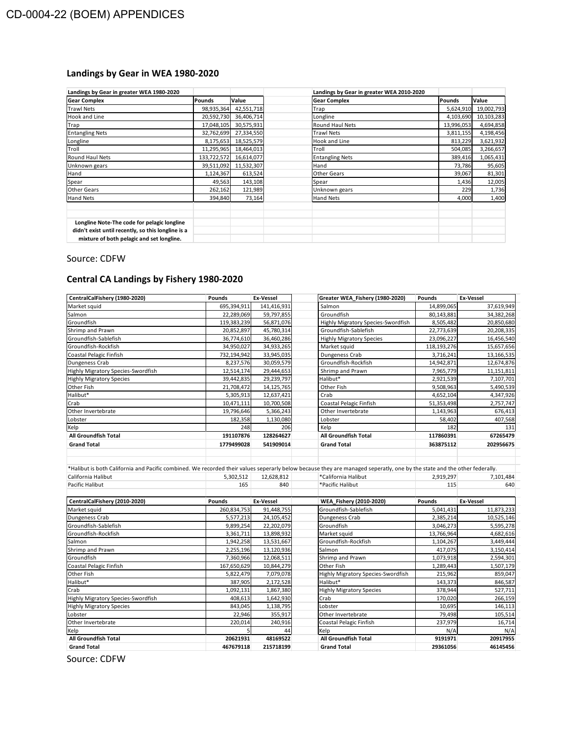# **Landings by Gear in WEA 1980-2020**

| Landings by Gear in greater WEA 1980-2020                                                                                                      |               |            | Landings by Gear in greater WEA 2010-2020 |            |              |
|------------------------------------------------------------------------------------------------------------------------------------------------|---------------|------------|-------------------------------------------|------------|--------------|
| <b>Gear Complex</b>                                                                                                                            | <b>Pounds</b> | Value      | <b>Gear Complex</b>                       | Pounds     | <b>Value</b> |
| <b>Trawl Nets</b>                                                                                                                              | 98,935,364    | 42,551,718 | Trap                                      | 5,624,910  | 19,002,793   |
| Hook and Line                                                                                                                                  | 20,592,730    | 36,406,714 | Longline                                  | 4,103,690  | 10,103,283   |
| Trap                                                                                                                                           | 17,048,105    | 30,575,931 | Round Haul Nets                           | 13,996,053 | 4,694,858    |
| <b>Entangling Nets</b>                                                                                                                         | 32,762,699    | 27,334,550 | <b>Trawl Nets</b>                         | 3,811,155  | 4,198,456    |
| Longline                                                                                                                                       | 8,175,653     | 18,525,579 | Hook and Line                             | 813,229    | 3,621,932    |
| Troll                                                                                                                                          | 11,295,965    | 18,464,013 | Troll                                     | 504,085    | 3,266,657    |
| Round Haul Nets                                                                                                                                | 133,722,572   | 16,614,077 | <b>Entangling Nets</b>                    | 389,416    | 1,065,431    |
| Unknown gears                                                                                                                                  | 39,511,092    | 11,532,307 | Hand                                      | 73,786     | 95,605       |
| Hand                                                                                                                                           | 1,124,367     | 613,524    | Other Gears                               | 39,067     | 81,301       |
| Spear                                                                                                                                          | 49,563        | 143,108    | Spear                                     | 1,436      | 12,005       |
| <b>Other Gears</b>                                                                                                                             | 262,162       | 121,989    | Unknown gears                             | 229        | 1,736        |
| Hand Nets                                                                                                                                      | 394,840       | 73,164     | <b>Hand Nets</b>                          | 4,000      | 1,400        |
|                                                                                                                                                |               |            |                                           |            |              |
| Longline Note-The code for pelagic longline<br>didn't exist until recently, so this longline is a<br>mixture of both pelagic and set longline. |               |            |                                           |            |              |

#### Source: CDFW

# **Central CA Landings by Fishery 1980-2020**

| CentralCalFishery (1980-2020)      | Pounds      | <b>Ex-Vessel</b> |                             | Greater WEA_Fishery (1980-2020)    | Pounds      | <b>Ex-Vessel</b> |
|------------------------------------|-------------|------------------|-----------------------------|------------------------------------|-------------|------------------|
| Market squid                       | 695,394,911 | 141,416,931      | Salmon                      |                                    | 14,899,065  | 37,619,949       |
| Salmon                             | 22,289,069  | 59,797,855       | Groundfish                  |                                    | 80,143,881  | 34,382,268       |
| Groundfish                         | 119,383,239 | 56,871,076       |                             | Highly Migratory Species-Swordfish | 8,505,482   | 20,850,680       |
| Shrimp and Prawn                   | 20,852,897  | 45,780,314       |                             | Groundfish-Sablefish               | 22,773,639  | 20,208,335       |
| Groundfish-Sablefish               | 36,774,610  | 36,460,286       |                             | <b>Highly Migratory Species</b>    | 23,096,227  | 16,456,540       |
| Groundfish-Rockfish                | 34,950,027  | 34,933,265       | Market squid                |                                    | 118,193,276 | 15,657,656       |
| Coastal Pelagic Finfish            | 732,194,942 | 33,945,035       | Dungeness Crab              |                                    | 3,716,241   | 13,166,535       |
| Dungeness Crab                     | 8,237,576   | 30,059,579       | Groundfish-Rockfish         |                                    | 14,942,871  | 12,674,876       |
| Highly Migratory Species-Swordfish | 12,514,174  | 29,444,653       | Shrimp and Prawn            |                                    | 7,965,779   | 11,151,811       |
| <b>Highly Migratory Species</b>    | 39,442,835  | 29,239,797       | Halibut*                    |                                    | 2,921,539   | 7,107,701        |
| Other Fish                         | 21,708,472  | 14,125,765       | Other Fish                  |                                    | 9,508,963   | 5,490,539        |
| Halibut*                           | 5,305,913   | 12,637,421       | Crab                        |                                    | 4,652,104   | 4,347,926        |
| Crab                               | 10,471,111  | 10,700,508       |                             | Coastal Pelagic Finfish            | 51,353,498  | 2,757,747        |
| Other Invertebrate                 | 19,796,646  | 5,366,243        | Other Invertebrate          |                                    | 1,143,963   | 676,413          |
| Lobster                            | 182,358     | 1,130,080        | Lobster                     |                                    | 58,402      | 407,568          |
| Kelp                               | 248         | 206              | Kelp                        |                                    | 182         | 131              |
| <b>All Groundfish Total</b>        | 191107876   | 128264627        | <b>All Groundfish Total</b> |                                    | 117860391   | 67265479         |
| <b>Grand Total</b>                 | 1779499028  | 541909014        | <b>Grand Total</b>          |                                    | 363875112   | 202956675        |
| Pacific Halibut                    | 165         | 840              | *Pacific Halibut            |                                    | 115         | 640              |
| CentralCalFishery (2010-2020)      | Pounds      | <b>Ex-Vessel</b> |                             | WEA Fishery (2010-2020)            | Pounds      | Ex-Vessel        |
| Market squid                       | 260,834,753 | 91,448,755       | Groundfish-Sablefish        |                                    | 5,041,431   | 11,873,233       |
| Dungeness Crab                     | 5,577,213   | 24,105,452       | Dungeness Crab              |                                    | 2,385,214   | 10,525,146       |
| Groundfish-Sablefish               | 9,899,254   | 22,202,079       | Groundfish                  |                                    | 3,046,273   | 5,595,278        |
| Groundfish-Rockfish                | 3,361,711   | 13,898,932       | Market squid                |                                    | 13,766,964  | 4,682,616        |
| Salmon                             | 1,942,258   | 13,531,667       | Groundfish-Rockfish         |                                    | 1,104,267   | 3,449,444        |
| Shrimp and Prawn                   | 2,255,196   | 13,120,936       | Salmon                      |                                    | 417,075     | 3,150,414        |
| Groundfish                         | 7,360,966   | 12,068,511       | Shrimp and Prawn            |                                    | 1,073,918   | 2,594,301        |
| Coastal Pelagic Finfish            | 167,650,629 | 10,844,279       | Other Fish                  |                                    | 1,289,443   | 1,507,179        |
| Other Fish                         | 5,822,479   | 7,079,078        |                             | Highly Migratory Species-Swordfish | 215,962     | 859,047          |
| Halibut*                           | 387,905     | 2,172,528        | Halibut*                    |                                    | 143,373     | 846,587          |
| Crab                               | 1,092,131   | 1,867,380        |                             | <b>Highly Migratory Species</b>    | 378,944     | 527,711          |
| Highly Migratory Species-Swordfish | 408,613     | 1,642,930        | Crab                        |                                    | 170,020     | 266,159          |
| <b>Highly Migratory Species</b>    | 843,045     | 1,138,795        | Lobster                     |                                    | 10,695      | 146,113          |
| Lobster                            | 22,946      | 355,917          | Other Invertebrate          |                                    | 79,498      | 105,514          |
| Other Invertebrate                 | 220,014     | 240,916          |                             | Coastal Pelagic Finfish            | 237,979     | 16,714           |
| Kelp                               | 5           | 44               | Kelp                        |                                    | N/A         | N/A              |
| <b>All Groundfish Total</b>        | 20621931    | 48169522         | All Groundfish Total        |                                    | 9191971     | 20917955         |
| <b>Grand Total</b>                 | 467679118   | 215718199        | <b>Grand Total</b>          |                                    | 29361056    | 46145456         |

Source: CDFW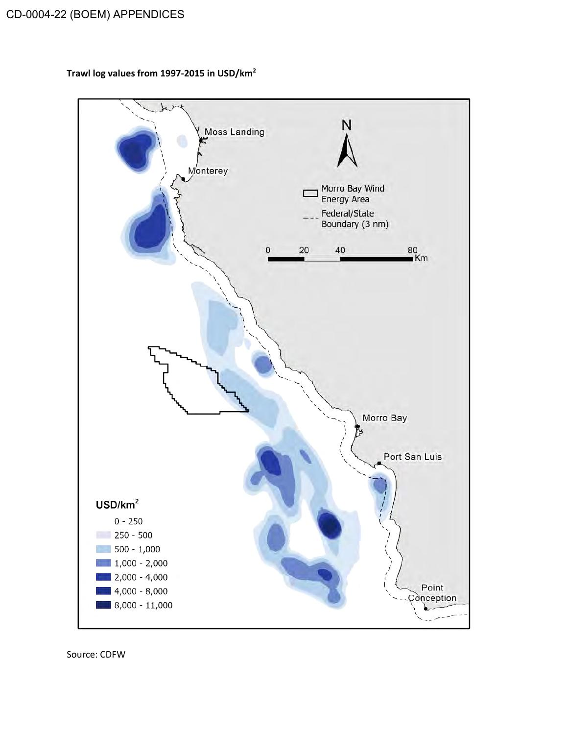**Trawl log values from 1997-2015 in USD/km2**



Source: CDFW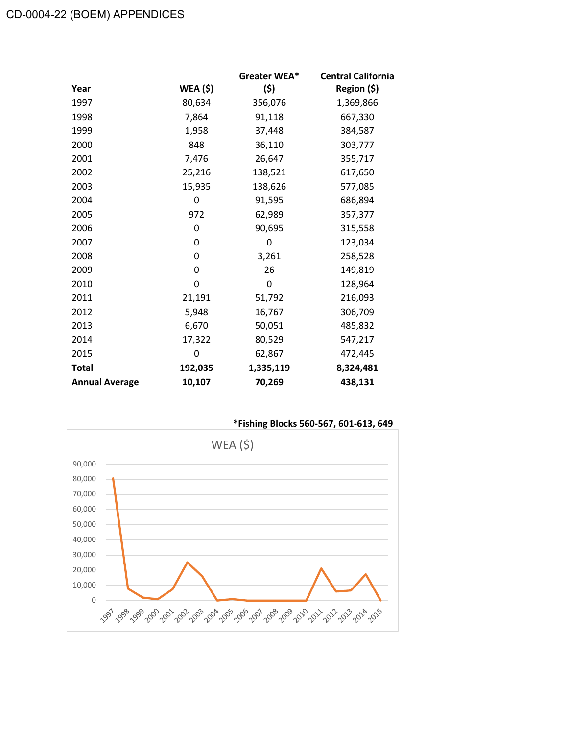|                       |                 | Greater WEA* | <b>Central California</b> |
|-----------------------|-----------------|--------------|---------------------------|
| Year                  | <b>WEA (\$)</b> | (\$)         | Region (\$)               |
| 1997                  | 80,634          | 356,076      | 1,369,866                 |
| 1998                  | 7,864           | 91,118       | 667,330                   |
| 1999                  | 1,958           | 37,448       | 384,587                   |
| 2000                  | 848             | 36,110       | 303,777                   |
| 2001                  | 7,476           | 26,647       | 355,717                   |
| 2002                  | 25,216          | 138,521      | 617,650                   |
| 2003                  | 15,935          | 138,626      | 577,085                   |
| 2004                  | 0               | 91,595       | 686,894                   |
| 2005                  | 972             | 62,989       | 357,377                   |
| 2006                  | 0               | 90,695       | 315,558                   |
| 2007                  | 0               | 0            | 123,034                   |
| 2008                  | 0               | 3,261        | 258,528                   |
| 2009                  | 0               | 26           | 149,819                   |
| 2010                  | 0               | 0            | 128,964                   |
| 2011                  | 21,191          | 51,792       | 216,093                   |
| 2012                  | 5,948           | 16,767       | 306,709                   |
| 2013                  | 6,670           | 50,051       | 485,832                   |
| 2014                  | 17,322          | 80,529       | 547,217                   |
| 2015                  | 0               | 62,867       | 472,445                   |
| <b>Total</b>          | 192,035         | 1,335,119    | 8,324,481                 |
| <b>Annual Average</b> | 10,107          | 70,269       | 438,131                   |

**\*Fishing Blocks 560-567, 601-613, 649**

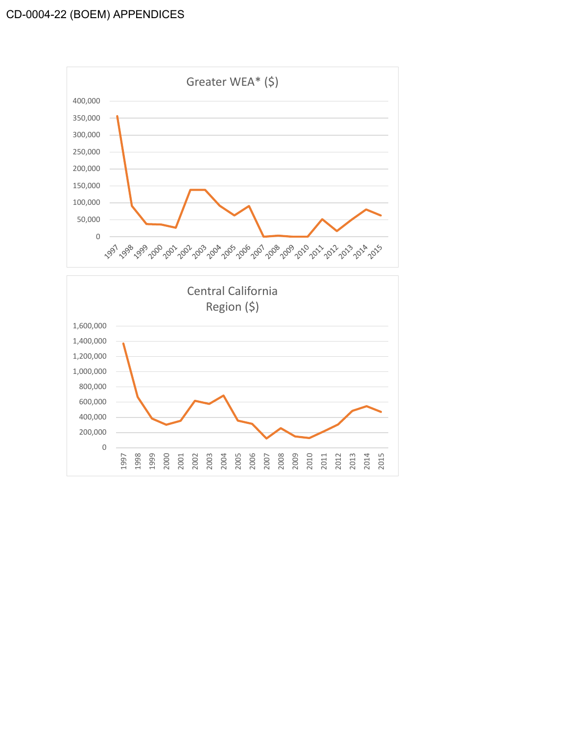

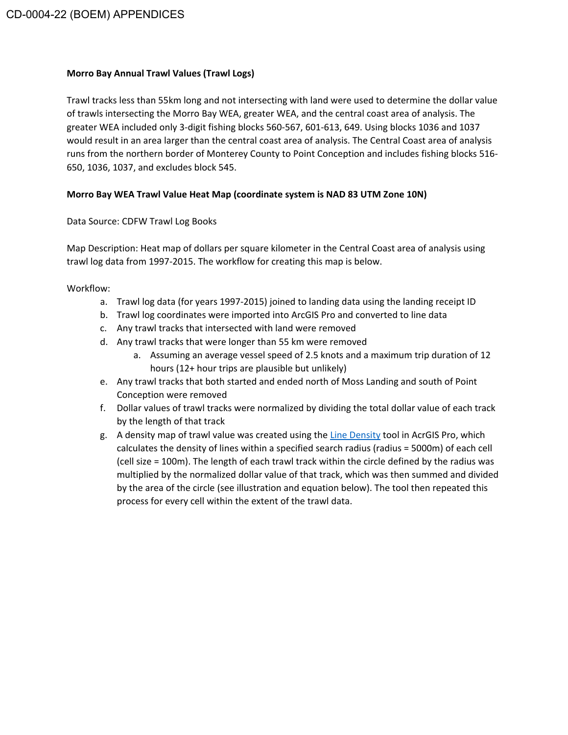#### **Morro Bay Annual Trawl Values (Trawl Logs)**

Trawl tracks less than 55km long and not intersecting with land were used to determine the dollar value of trawls intersecting the Morro Bay WEA, greater WEA, and the central coast area of analysis. The greater WEA included only 3-digit fishing blocks 560-567, 601-613, 649. Using blocks 1036 and 1037 would result in an area larger than the central coast area of analysis. The Central Coast area of analysis runs from the northern border of Monterey County to Point Conception and includes fishing blocks 516- 650, 1036, 1037, and excludes block 545.

# **Morro Bay WEA Trawl Value Heat Map (coordinate system is NAD 83 UTM Zone 10N)**

# Data Source: CDFW Trawl Log Books

Map Description: Heat map of dollars per square kilometer in the Central Coast area of analysis using trawl log data from 1997-2015. The workflow for creating this map is below.

Workflow:

- a. Trawl log data (for years 1997-2015) joined to landing data using the landing receipt ID
- b. Trawl log coordinates were imported into ArcGIS Pro and converted to line data
- c. Any trawl tracks that intersected with land were removed
- d. Any trawl tracks that were longer than 55 km were removed
	- a. Assuming an average vessel speed of 2.5 knots and a maximum trip duration of 12 hours (12+ hour trips are plausible but unlikely)
- e. Any trawl tracks that both started and ended north of Moss Landing and south of Point Conception were removed
- f. Dollar values of trawl tracks were normalized by dividing the total dollar value of each track by the length of that track
- g. A density map of trawl value was created using the Line Density tool in AcrGIS Pro, which calculates the density of lines within a specified search radius (radius = 5000m) of each cell (cell size = 100m). The length of each trawl track within the circle defined by the radius was multiplied by the normalized dollar value of that track, which was then summed and divided by the area of the circle (see illustration and equation below). The tool then repeated this process for every cell within the extent of the trawl data.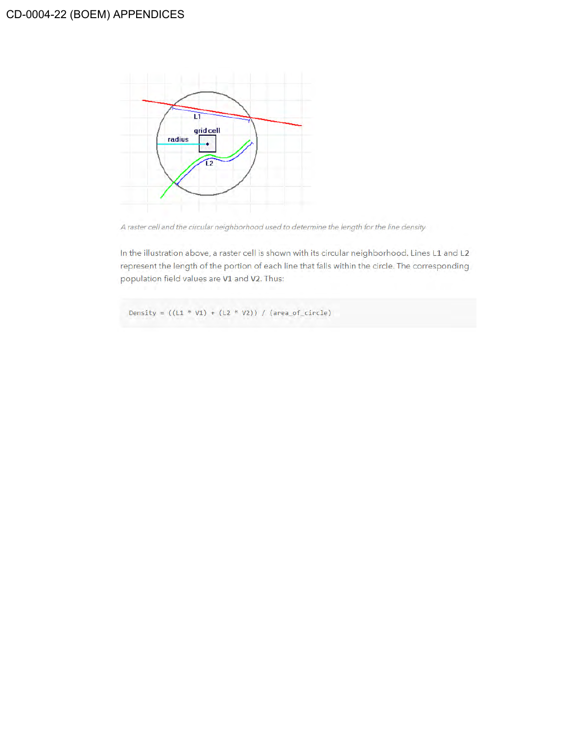

A raster cell and the circular neighborhood used to determine the length for the line density

In the illustration above, a raster cell is shown with its circular neighborhood. Lines L1 and L2 represent the length of the portion of each line that falls within the circle. The corresponding population field values are V1 and V2. Thus:

Density =  $((L1 * V1) + (L2 * V2)) / (area_of_circle)$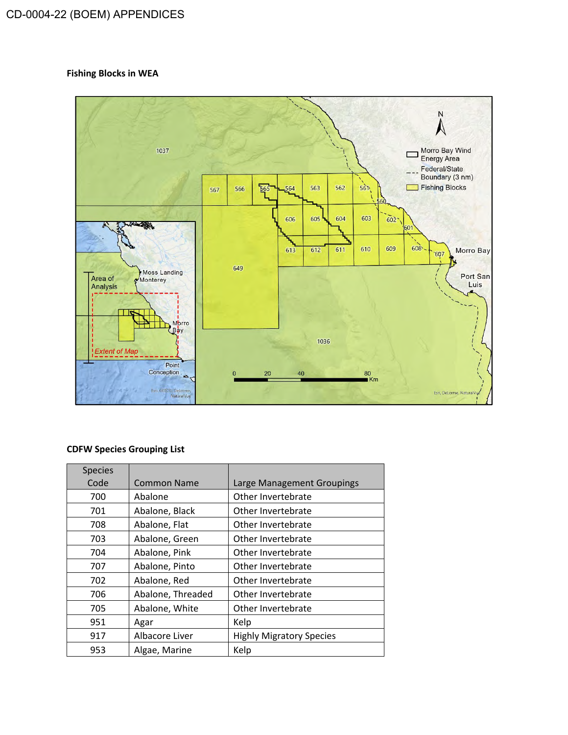# **Fishing Blocks in WEA**



## **CDFW Species Grouping List**

| <b>Species</b> |                    |                                 |
|----------------|--------------------|---------------------------------|
| Code           | <b>Common Name</b> | Large Management Groupings      |
| 700            | Abalone            | Other Invertebrate              |
| 701            | Abalone, Black     | Other Invertebrate              |
| 708            | Abalone, Flat      | Other Invertebrate              |
| 703            | Abalone, Green     | Other Invertebrate              |
| 704            | Abalone, Pink      | Other Invertebrate              |
| 707            | Abalone, Pinto     | Other Invertebrate              |
| 702            | Abalone, Red       | Other Invertebrate              |
| 706            | Abalone, Threaded  | Other Invertebrate              |
| 705            | Abalone, White     | Other Invertebrate              |
| 951            | Agar               | Kelp                            |
| 917            | Albacore Liver     | <b>Highly Migratory Species</b> |
| 953            | Algae, Marine      | Kelp                            |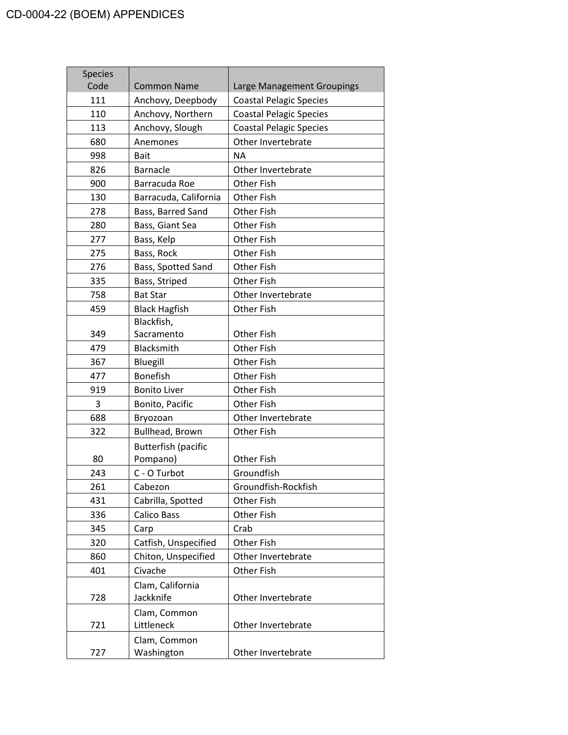| <b>Species</b> |                            |                                |
|----------------|----------------------------|--------------------------------|
| Code           | <b>Common Name</b>         | Large Management Groupings     |
| 111            | Anchovy, Deepbody          | <b>Coastal Pelagic Species</b> |
| 110            | Anchovy, Northern          | <b>Coastal Pelagic Species</b> |
| 113            | Anchovy, Slough            | <b>Coastal Pelagic Species</b> |
| 680            | Anemones                   | Other Invertebrate             |
| 998            | <b>Bait</b>                | <b>NA</b>                      |
| 826            | Barnacle                   | Other Invertebrate             |
| 900            | Barracuda Roe              | Other Fish                     |
| 130            | Barracuda, California      | Other Fish                     |
| 278            | Bass, Barred Sand          | Other Fish                     |
| 280            | Bass, Giant Sea            | Other Fish                     |
| 277            | Bass, Kelp                 | Other Fish                     |
| 275            | Bass, Rock                 | Other Fish                     |
| 276            | Bass, Spotted Sand         | Other Fish                     |
| 335            | Bass, Striped              | Other Fish                     |
| 758            | <b>Bat Star</b>            | Other Invertebrate             |
| 459            | <b>Black Hagfish</b>       | <b>Other Fish</b>              |
|                | Blackfish,                 |                                |
| 349            | Sacramento                 | Other Fish                     |
| 479            | Blacksmith                 | Other Fish                     |
| 367            | Bluegill                   | Other Fish                     |
| 477            | <b>Bonefish</b>            | Other Fish                     |
| 919            | <b>Bonito Liver</b>        | <b>Other Fish</b>              |
| 3              | Bonito, Pacific            | Other Fish                     |
| 688            | Bryozoan                   | Other Invertebrate             |
| 322            | Bullhead, Brown            | Other Fish                     |
|                | <b>Butterfish (pacific</b> |                                |
| 80             | Pompano)                   | Other Fish                     |
| 243            | C - O Turbot               | Groundfish                     |
| 261            | Cabezon                    | Groundfish-Rockfish            |
| 431            | Cabrilla, Spotted          | Other Fish                     |
| 336            | <b>Calico Bass</b>         | Other Fish                     |
| 345            | Carp                       | Crab                           |
| 320            | Catfish, Unspecified       | Other Fish                     |
| 860            | Chiton, Unspecified        | Other Invertebrate             |
| 401            | Civache                    | Other Fish                     |
|                | Clam, California           |                                |
| 728            | Jackknife                  | Other Invertebrate             |
|                | Clam, Common               |                                |
| 721            | Littleneck                 | Other Invertebrate             |
|                | Clam, Common               |                                |
| 727            | Washington                 | Other Invertebrate             |
|                |                            |                                |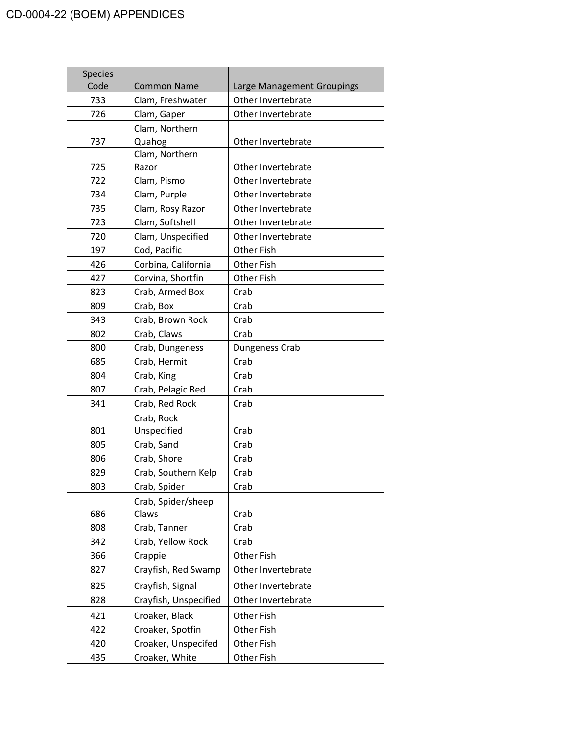| <b>Species</b> |                          |                            |
|----------------|--------------------------|----------------------------|
| Code           | <b>Common Name</b>       | Large Management Groupings |
| 733            | Clam, Freshwater         | Other Invertebrate         |
| 726            | Clam, Gaper              | Other Invertebrate         |
|                | Clam, Northern           |                            |
| 737            | Quahog<br>Clam, Northern | Other Invertebrate         |
| 725            | Razor                    | Other Invertebrate         |
| 722            | Clam, Pismo              | Other Invertebrate         |
| 734            | Clam, Purple             | Other Invertebrate         |
| 735            | Clam, Rosy Razor         | Other Invertebrate         |
| 723            | Clam, Softshell          | Other Invertebrate         |
| 720            | Clam, Unspecified        | Other Invertebrate         |
| 197            | Cod, Pacific             | <b>Other Fish</b>          |
| 426            | Corbina, California      | Other Fish                 |
| 427            | Corvina, Shortfin        | Other Fish                 |
| 823            | Crab, Armed Box          | Crab                       |
| 809            | Crab, Box                | Crab                       |
| 343            | Crab, Brown Rock         | Crab                       |
| 802            | Crab, Claws              | Crab                       |
| 800            | Crab, Dungeness          | Dungeness Crab             |
| 685            | Crab, Hermit             | Crab                       |
| 804            | Crab, King               | Crab                       |
| 807            | Crab, Pelagic Red        | Crab                       |
| 341            | Crab, Red Rock           | Crab                       |
|                | Crab, Rock               |                            |
| 801            | Unspecified              | Crab                       |
| 805            | Crab, Sand               | Crab                       |
| 806            | Crab, Shore              | Crab                       |
| 829            | Crab, Southern Kelp      | Crab                       |
| 803            | Crab, Spider             | Crab                       |
|                | Crab, Spider/sheep       |                            |
| 686            | Claws                    | Crab                       |
| 808            | Crab, Tanner             | Crab                       |
| 342            | Crab, Yellow Rock        | Crab                       |
| 366            | Crappie                  | Other Fish                 |
| 827            | Crayfish, Red Swamp      | Other Invertebrate         |
| 825            | Crayfish, Signal         | Other Invertebrate         |
| 828            | Crayfish, Unspecified    | Other Invertebrate         |
| 421            | Croaker, Black           | Other Fish                 |
| 422            | Croaker, Spotfin         | Other Fish                 |
| 420            | Croaker, Unspecifed      | Other Fish                 |
| 435            | Croaker, White           | Other Fish                 |
|                |                          |                            |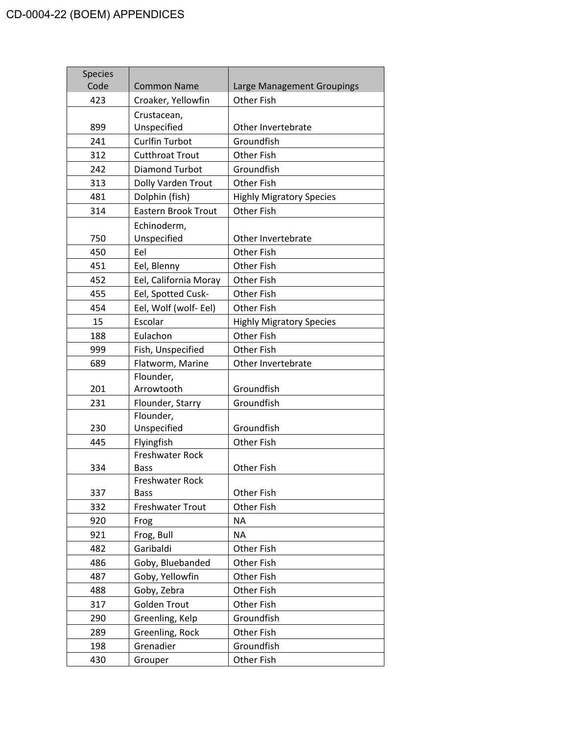| <b>Species</b><br>Code | <b>Common Name</b>         | Large Management Groupings      |
|------------------------|----------------------------|---------------------------------|
| 423                    | Croaker, Yellowfin         | Other Fish                      |
|                        | Crustacean,                |                                 |
| 899                    | Unspecified                | Other Invertebrate              |
| 241                    | <b>Curlfin Turbot</b>      | Groundfish                      |
| 312                    | <b>Cutthroat Trout</b>     | <b>Other Fish</b>               |
| 242                    | <b>Diamond Turbot</b>      | Groundfish                      |
| 313                    | Dolly Varden Trout         | <b>Other Fish</b>               |
| 481                    | Dolphin (fish)             | <b>Highly Migratory Species</b> |
| 314                    | <b>Eastern Brook Trout</b> | <b>Other Fish</b>               |
| 750                    | Echinoderm,<br>Unspecified | Other Invertebrate              |
| 450                    | Eel                        | <b>Other Fish</b>               |
| 451                    | Eel, Blenny                | <b>Other Fish</b>               |
| 452                    | Eel, California Moray      | <b>Other Fish</b>               |
| 455                    | Eel, Spotted Cusk-         | <b>Other Fish</b>               |
| 454                    | Eel, Wolf (wolf- Eel)      | <b>Other Fish</b>               |
| 15                     | Escolar                    | <b>Highly Migratory Species</b> |
| 188                    | Eulachon                   | Other Fish                      |
| 999                    | Fish, Unspecified          | <b>Other Fish</b>               |
| 689                    | Flatworm, Marine           | Other Invertebrate              |
| 201                    | Flounder,<br>Arrowtooth    | Groundfish                      |
| 231                    | Flounder, Starry           | Groundfish                      |
|                        | Flounder,                  |                                 |
| 230                    | Unspecified                | Groundfish                      |
| 445                    | Flyingfish                 | <b>Other Fish</b>               |
|                        | <b>Freshwater Rock</b>     |                                 |
| 334                    | <b>Bass</b>                | Other Fish                      |
|                        | Freshwater Rock            |                                 |
| 337                    | <b>Bass</b>                | Other Fish                      |
| 332                    | <b>Freshwater Trout</b>    | Other Fish                      |
| 920                    | Frog                       | <b>NA</b>                       |
| 921                    | Frog, Bull                 | <b>NA</b>                       |
| 482                    | Garibaldi                  | Other Fish                      |
| 486                    | Goby, Bluebanded           | Other Fish                      |
| 487                    | Goby, Yellowfin            | Other Fish                      |
| 488                    | Goby, Zebra                | Other Fish                      |
| 317                    | <b>Golden Trout</b>        | Other Fish                      |
| 290                    | Greenling, Kelp            | Groundfish                      |
| 289                    | Greenling, Rock            | Other Fish                      |
| 198                    | Grenadier                  | Groundfish                      |
| 430                    | Grouper                    | Other Fish                      |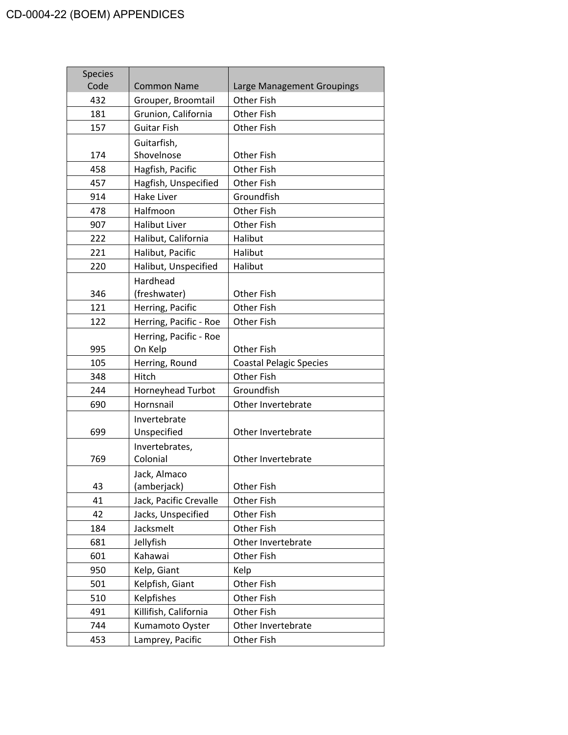| <b>Species</b> |                        |                                |
|----------------|------------------------|--------------------------------|
| Code           | <b>Common Name</b>     | Large Management Groupings     |
| 432            | Grouper, Broomtail     | <b>Other Fish</b>              |
| 181            | Grunion, California    | Other Fish                     |
| 157            | <b>Guitar Fish</b>     | Other Fish                     |
|                | Guitarfish,            |                                |
| 174            | Shovelnose             | Other Fish                     |
| 458            | Hagfish, Pacific       | Other Fish                     |
| 457            | Hagfish, Unspecified   | Other Fish                     |
| 914            | <b>Hake Liver</b>      | Groundfish                     |
| 478            | Halfmoon               | Other Fish                     |
| 907            | <b>Halibut Liver</b>   | Other Fish                     |
| 222            | Halibut, California    | Halibut                        |
| 221            | Halibut, Pacific       | Halibut                        |
| 220            | Halibut, Unspecified   | Halibut                        |
|                | Hardhead               |                                |
| 346            | (freshwater)           | Other Fish                     |
| 121            | Herring, Pacific       | Other Fish                     |
| 122            | Herring, Pacific - Roe | Other Fish                     |
|                | Herring, Pacific - Roe |                                |
| 995            | On Kelp                | <b>Other Fish</b>              |
| 105            | Herring, Round         | <b>Coastal Pelagic Species</b> |
| 348            | Hitch                  | <b>Other Fish</b>              |
| 244            | Horneyhead Turbot      | Groundfish                     |
| 690            | Hornsnail              | Other Invertebrate             |
|                | Invertebrate           |                                |
| 699            | Unspecified            | Other Invertebrate             |
|                | Invertebrates,         |                                |
| 769            | Colonial               | Other Invertebrate             |
|                | Jack, Almaco           |                                |
| 43             | (amberjack)            | Other Fish                     |
| 41             | Jack, Pacific Crevalle | Other Fish                     |
| 42             | Jacks, Unspecified     | Other Fish                     |
| 184            | Jacksmelt              | Other Fish                     |
| 681            | Jellyfish              | Other Invertebrate             |
| 601            | Kahawai                | Other Fish                     |
| 950            | Kelp, Giant            | Kelp                           |
| 501            | Kelpfish, Giant        | Other Fish                     |
| 510            | Kelpfishes             | Other Fish                     |
| 491            | Killifish, California  | Other Fish                     |
| 744            | Kumamoto Oyster        | Other Invertebrate             |
| 453            | Lamprey, Pacific       | Other Fish                     |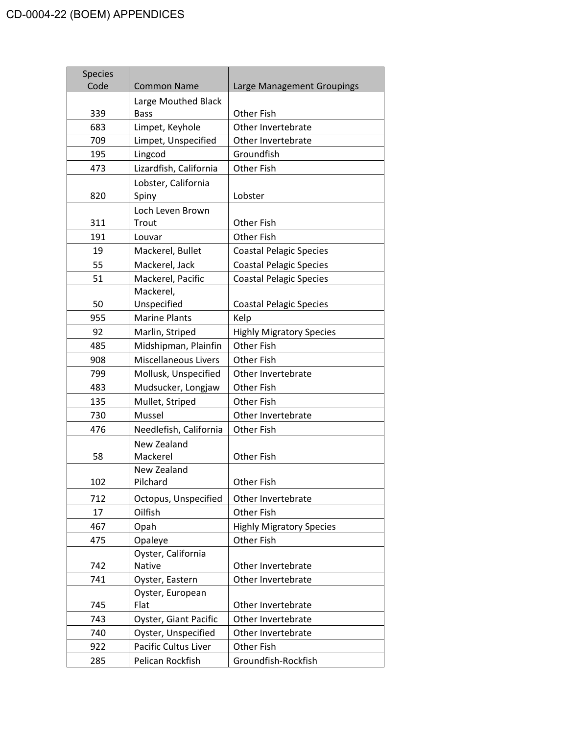| <b>Species</b><br>Code | <b>Common Name</b>                 | Large Management Groupings      |
|------------------------|------------------------------------|---------------------------------|
|                        |                                    |                                 |
| 339                    | Large Mouthed Black<br><b>Bass</b> | <b>Other Fish</b>               |
| 683                    | Limpet, Keyhole                    | Other Invertebrate              |
| 709                    | Limpet, Unspecified                | Other Invertebrate              |
| 195                    | Lingcod                            | Groundfish                      |
| 473                    | Lizardfish, California             | <b>Other Fish</b>               |
|                        | Lobster, California                |                                 |
| 820                    | Spiny                              | Lobster                         |
|                        | Loch Leven Brown                   |                                 |
| 311                    | Trout                              | <b>Other Fish</b>               |
| 191                    | Louvar                             | <b>Other Fish</b>               |
| 19                     | Mackerel, Bullet                   | <b>Coastal Pelagic Species</b>  |
| 55                     | Mackerel, Jack                     | <b>Coastal Pelagic Species</b>  |
| 51                     | Mackerel, Pacific                  | <b>Coastal Pelagic Species</b>  |
|                        | Mackerel,                          |                                 |
| 50                     | Unspecified                        | <b>Coastal Pelagic Species</b>  |
| 955                    | <b>Marine Plants</b>               | Kelp                            |
| 92                     | Marlin, Striped                    | <b>Highly Migratory Species</b> |
| 485                    | Midshipman, Plainfin               | Other Fish                      |
| 908                    | <b>Miscellaneous Livers</b>        | <b>Other Fish</b>               |
| 799                    | Mollusk, Unspecified               | Other Invertebrate              |
| 483                    | Mudsucker, Longjaw                 | Other Fish                      |
| 135                    | Mullet, Striped                    | <b>Other Fish</b>               |
| 730                    | Mussel                             | Other Invertebrate              |
| 476                    | Needlefish, California             | <b>Other Fish</b>               |
|                        | New Zealand                        |                                 |
| 58                     | Mackerel                           | Other Fish                      |
|                        | New Zealand                        |                                 |
| 102                    | Pilchard                           | Other Fish                      |
| 712                    | Octopus, Unspecified               | Other Invertebrate              |
| 17                     | Oilfish                            | Other Fish                      |
| 467                    | Opah                               | <b>Highly Migratory Species</b> |
| 475                    | Opaleye                            | <b>Other Fish</b>               |
|                        | Oyster, California                 |                                 |
| 742                    | Native                             | Other Invertebrate              |
| 741                    | Oyster, Eastern                    | Other Invertebrate              |
|                        | Oyster, European                   |                                 |
| 745                    | Flat                               | Other Invertebrate              |
| 743                    | Oyster, Giant Pacific              | Other Invertebrate              |
| 740                    | Oyster, Unspecified                | Other Invertebrate              |
| 922                    | Pacific Cultus Liver               | Other Fish                      |
| 285                    | Pelican Rockfish                   | Groundfish-Rockfish             |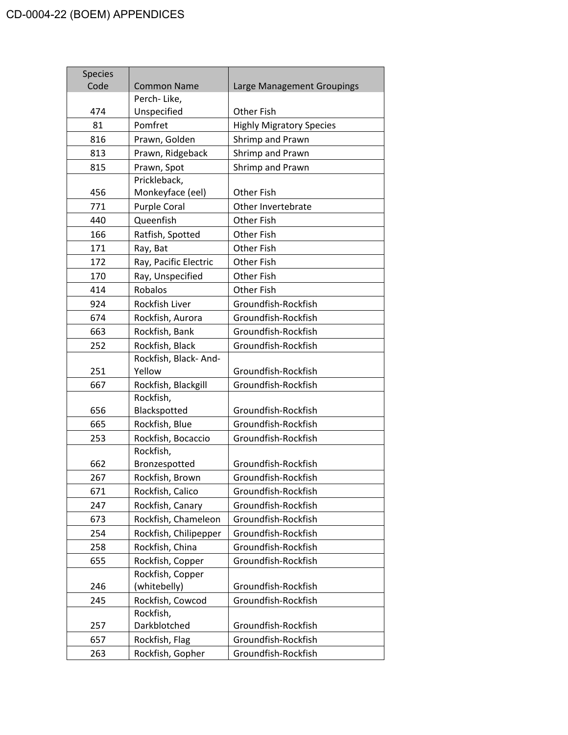| <b>Species</b><br>Code | <b>Common Name</b>    | Large Management Groupings      |
|------------------------|-----------------------|---------------------------------|
|                        | Perch-Like,           |                                 |
| 474                    | Unspecified           | Other Fish                      |
| 81                     | Pomfret               | <b>Highly Migratory Species</b> |
| 816                    | Prawn, Golden         | Shrimp and Prawn                |
| 813                    | Prawn, Ridgeback      | Shrimp and Prawn                |
| 815                    | Prawn, Spot           | Shrimp and Prawn                |
|                        | Prickleback,          |                                 |
| 456                    | Monkeyface (eel)      | <b>Other Fish</b>               |
| 771                    | <b>Purple Coral</b>   | Other Invertebrate              |
| 440                    | Queenfish             | <b>Other Fish</b>               |
| 166                    | Ratfish, Spotted      | Other Fish                      |
| 171                    | Ray, Bat              | Other Fish                      |
| 172                    | Ray, Pacific Electric | <b>Other Fish</b>               |
| 170                    | Ray, Unspecified      | <b>Other Fish</b>               |
| 414                    | Robalos               | <b>Other Fish</b>               |
| 924                    | Rockfish Liver        | Groundfish-Rockfish             |
| 674                    | Rockfish, Aurora      | Groundfish-Rockfish             |
| 663                    | Rockfish, Bank        | Groundfish-Rockfish             |
| 252                    | Rockfish, Black       | Groundfish-Rockfish             |
|                        | Rockfish, Black-And-  |                                 |
| 251                    | Yellow                | Groundfish-Rockfish             |
| 667                    | Rockfish, Blackgill   | Groundfish-Rockfish             |
|                        | Rockfish,             |                                 |
| 656                    | Blackspotted          | Groundfish-Rockfish             |
| 665                    | Rockfish, Blue        | Groundfish-Rockfish             |
| 253                    | Rockfish, Bocaccio    | Groundfish-Rockfish             |
|                        | Rockfish,             |                                 |
| 662                    | Bronzespotted         | Groundfish-Rockfish             |
| 267                    | Rockfish, Brown       | Groundfish-Rockfish             |
| 671                    | Rockfish, Calico      | Groundfish-Rockfish             |
| 247                    | Rockfish, Canary      | Groundfish-Rockfish             |
| 673                    | Rockfish, Chameleon   | Groundfish-Rockfish             |
| 254                    | Rockfish, Chilipepper | Groundfish-Rockfish             |
| 258                    | Rockfish, China       | Groundfish-Rockfish             |
| 655                    | Rockfish, Copper      | Groundfish-Rockfish             |
|                        | Rockfish, Copper      |                                 |
| 246                    | (whitebelly)          | Groundfish-Rockfish             |
| 245                    | Rockfish, Cowcod      | Groundfish-Rockfish             |
|                        | Rockfish,             |                                 |
| 257                    | Darkblotched          | Groundfish-Rockfish             |
| 657                    | Rockfish, Flag        | Groundfish-Rockfish             |
| 263                    | Rockfish, Gopher      | Groundfish-Rockfish             |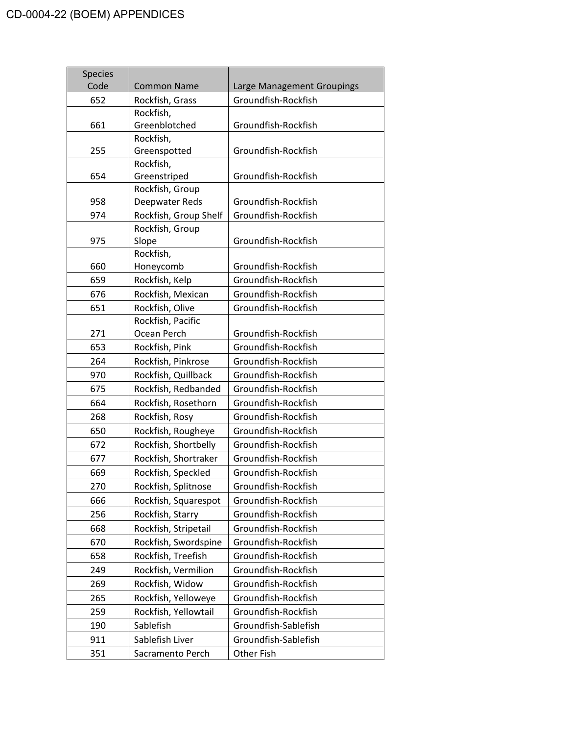| <b>Species</b> |                              |                            |
|----------------|------------------------------|----------------------------|
| Code           | <b>Common Name</b>           | Large Management Groupings |
| 652            | Rockfish, Grass<br>Rockfish, | Groundfish-Rockfish        |
| 661            | Greenblotched                | Groundfish-Rockfish        |
|                | Rockfish,                    |                            |
| 255            | Greenspotted                 | Groundfish-Rockfish        |
|                | Rockfish,                    |                            |
| 654            | Greenstriped                 | Groundfish-Rockfish        |
|                | Rockfish, Group              |                            |
| 958            | Deepwater Reds               | Groundfish-Rockfish        |
| 974            | Rockfish, Group Shelf        | Groundfish-Rockfish        |
|                | Rockfish, Group              |                            |
| 975            | Slope                        | Groundfish-Rockfish        |
|                | Rockfish,                    |                            |
| 660            | Honeycomb                    | Groundfish-Rockfish        |
| 659            | Rockfish, Kelp               | Groundfish-Rockfish        |
| 676            | Rockfish, Mexican            | Groundfish-Rockfish        |
| 651            | Rockfish, Olive              | Groundfish-Rockfish        |
|                | Rockfish, Pacific            |                            |
| 271            | Ocean Perch                  | Groundfish-Rockfish        |
| 653            | Rockfish, Pink               | Groundfish-Rockfish        |
| 264            | Rockfish, Pinkrose           | Groundfish-Rockfish        |
| 970            | Rockfish, Quillback          | Groundfish-Rockfish        |
| 675            | Rockfish, Redbanded          | Groundfish-Rockfish        |
| 664            | Rockfish, Rosethorn          | Groundfish-Rockfish        |
| 268            | Rockfish, Rosy               | Groundfish-Rockfish        |
| 650            | Rockfish, Rougheye           | Groundfish-Rockfish        |
| 672            | Rockfish, Shortbelly         | Groundfish-Rockfish        |
| 677            | Rockfish, Shortraker         | Groundfish-Rockfish        |
| 669            | Rockfish, Speckled           | Groundfish-Rockfish        |
| 270            | Rockfish, Splitnose          | Groundfish-Rockfish        |
| 666            | Rockfish, Squarespot         | Groundfish-Rockfish        |
| 256            | Rockfish, Starry             | Groundfish-Rockfish        |
| 668            | Rockfish, Stripetail         | Groundfish-Rockfish        |
| 670            | Rockfish, Swordspine         | Groundfish-Rockfish        |
| 658            | Rockfish, Treefish           | Groundfish-Rockfish        |
| 249            | Rockfish, Vermilion          | Groundfish-Rockfish        |
| 269            | Rockfish, Widow              | Groundfish-Rockfish        |
| 265            | Rockfish, Yelloweye          | Groundfish-Rockfish        |
| 259            | Rockfish, Yellowtail         | Groundfish-Rockfish        |
| 190            | Sablefish                    | Groundfish-Sablefish       |
| 911            | Sablefish Liver              | Groundfish-Sablefish       |
| 351            | Sacramento Perch             | Other Fish                 |
|                |                              |                            |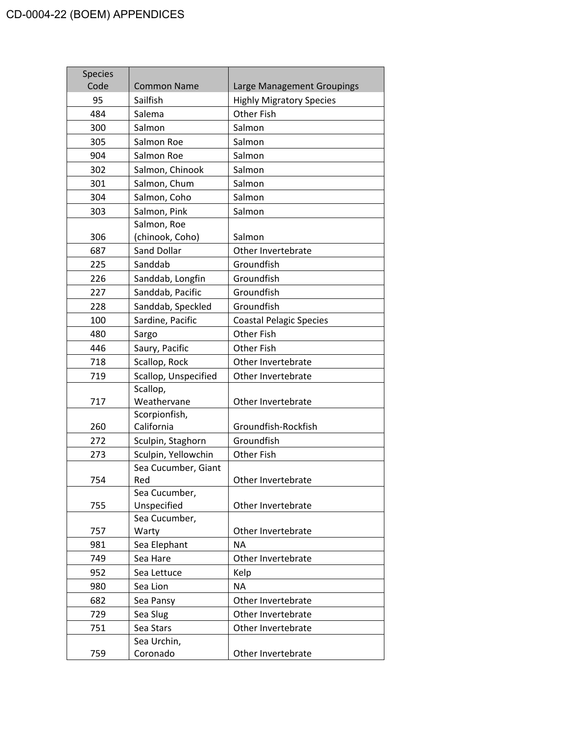| <b>Species</b> |                        |                                 |
|----------------|------------------------|---------------------------------|
| Code           | <b>Common Name</b>     | Large Management Groupings      |
| 95             | Sailfish               | <b>Highly Migratory Species</b> |
| 484            | Salema                 | Other Fish                      |
| 300            | Salmon                 | Salmon                          |
| 305            | Salmon Roe             | Salmon                          |
| 904            | Salmon Roe             | Salmon                          |
| 302            | Salmon, Chinook        | Salmon                          |
| 301            | Salmon, Chum           | Salmon                          |
| 304            | Salmon, Coho           | Salmon                          |
| 303            | Salmon, Pink           | Salmon                          |
|                | Salmon, Roe            |                                 |
| 306            | (chinook, Coho)        | Salmon                          |
| 687            | Sand Dollar            | Other Invertebrate              |
| 225            | Sanddab                | Groundfish                      |
| 226            | Sanddab, Longfin       | Groundfish                      |
| 227            | Sanddab, Pacific       | Groundfish                      |
| 228            | Sanddab, Speckled      | Groundfish                      |
| 100            | Sardine, Pacific       | <b>Coastal Pelagic Species</b>  |
| 480            | Sargo                  | Other Fish                      |
| 446            | Saury, Pacific         | Other Fish                      |
| 718            | Scallop, Rock          | Other Invertebrate              |
| 719            | Scallop, Unspecified   | Other Invertebrate              |
|                | Scallop,               |                                 |
| 717            | Weathervane            | Other Invertebrate              |
|                | Scorpionfish,          |                                 |
| 260            | California             | Groundfish-Rockfish             |
| 272            | Sculpin, Staghorn      | Groundfish                      |
| 273            | Sculpin, Yellowchin    | Other Fish                      |
|                | Sea Cucumber, Giant    |                                 |
| 754            | Red                    | Other Invertebrate              |
|                | Sea Cucumber,          |                                 |
| 755            | Unspecified            | Other Invertebrate              |
| 757            | Sea Cucumber,<br>Warty | Other Invertebrate              |
| 981            | Sea Elephant           | <b>NA</b>                       |
| 749            | Sea Hare               | Other Invertebrate              |
| 952            |                        |                                 |
|                | Sea Lettuce            | Kelp<br><b>NA</b>               |
| 980            | Sea Lion               |                                 |
| 682            | Sea Pansy              | Other Invertebrate              |
| 729            | Sea Slug               | Other Invertebrate              |
| 751            | Sea Stars              | Other Invertebrate              |
|                | Sea Urchin,            |                                 |
| 759            | Coronado               | Other Invertebrate              |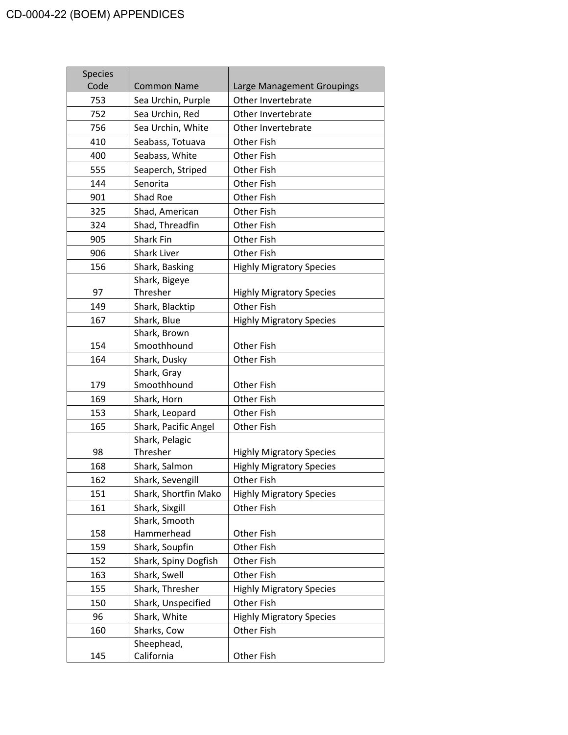| <b>Species</b><br>Code | <b>Common Name</b>              | Large Management Groupings      |
|------------------------|---------------------------------|---------------------------------|
| 753                    | Sea Urchin, Purple              | Other Invertebrate              |
| 752                    | Sea Urchin, Red                 | Other Invertebrate              |
| 756                    | Sea Urchin, White               | Other Invertebrate              |
| 410                    | Seabass, Totuava                | Other Fish                      |
| 400                    | Seabass, White                  | Other Fish                      |
| 555                    | Seaperch, Striped               | <b>Other Fish</b>               |
| 144                    | Senorita                        | Other Fish                      |
| 901                    | Shad Roe                        | <b>Other Fish</b>               |
| 325                    | Shad, American                  | Other Fish                      |
| 324                    | Shad, Threadfin                 | <b>Other Fish</b>               |
| 905                    | <b>Shark Fin</b>                |                                 |
|                        |                                 | Other Fish                      |
| 906                    | <b>Shark Liver</b>              | Other Fish                      |
| 156                    | Shark, Basking<br>Shark, Bigeye | <b>Highly Migratory Species</b> |
| 97                     | Thresher                        | <b>Highly Migratory Species</b> |
| 149                    | Shark, Blacktip                 | <b>Other Fish</b>               |
| 167                    | Shark, Blue                     | <b>Highly Migratory Species</b> |
|                        | Shark, Brown                    |                                 |
| 154                    | Smoothhound                     | Other Fish                      |
| 164                    | Shark, Dusky                    | Other Fish                      |
|                        | Shark, Gray                     |                                 |
| 179                    | Smoothhound                     | Other Fish                      |
| 169                    | Shark, Horn                     | Other Fish                      |
| 153                    | Shark, Leopard                  | Other Fish                      |
| 165                    | Shark, Pacific Angel            | Other Fish                      |
|                        | Shark, Pelagic                  |                                 |
| 98                     | Thresher                        | <b>Highly Migratory Species</b> |
| 168                    | Shark, Salmon                   | <b>Highly Migratory Species</b> |
| 162                    | Shark, Sevengill                | Other Fish                      |
| 151                    | Shark, Shortfin Mako            | <b>Highly Migratory Species</b> |
| 161                    | Shark, Sixgill                  | Other Fish                      |
|                        | Shark, Smooth                   |                                 |
| 158                    | Hammerhead                      | Other Fish                      |
| 159                    | Shark, Soupfin                  | <b>Other Fish</b>               |
| 152                    | Shark, Spiny Dogfish            | Other Fish                      |
| 163                    | Shark, Swell                    | Other Fish                      |
| 155                    | Shark, Thresher                 | <b>Highly Migratory Species</b> |
| 150                    | Shark, Unspecified              | Other Fish                      |
| 96                     | Shark, White                    | <b>Highly Migratory Species</b> |
| 160                    | Sharks, Cow                     | Other Fish                      |
|                        | Sheephead,                      |                                 |
| 145                    | California                      | Other Fish                      |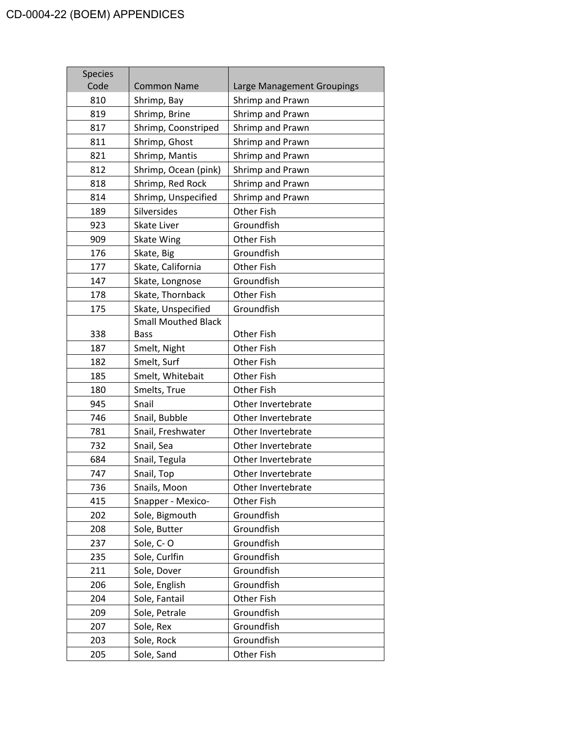| <b>Species</b> |                            |                            |
|----------------|----------------------------|----------------------------|
| Code           | <b>Common Name</b>         | Large Management Groupings |
| 810            | Shrimp, Bay                | Shrimp and Prawn           |
| 819            | Shrimp, Brine              | Shrimp and Prawn           |
| 817            | Shrimp, Coonstriped        | Shrimp and Prawn           |
| 811            | Shrimp, Ghost              | Shrimp and Prawn           |
| 821            | Shrimp, Mantis             | Shrimp and Prawn           |
| 812            | Shrimp, Ocean (pink)       | Shrimp and Prawn           |
| 818            | Shrimp, Red Rock           | Shrimp and Prawn           |
| 814            | Shrimp, Unspecified        | Shrimp and Prawn           |
| 189            | Silversides                | Other Fish                 |
| 923            | Skate Liver                | Groundfish                 |
| 909            | Skate Wing                 | Other Fish                 |
| 176            | Skate, Big                 | Groundfish                 |
| 177            | Skate, California          | Other Fish                 |
| 147            | Skate, Longnose            | Groundfish                 |
| 178            | Skate, Thornback           | Other Fish                 |
| 175            | Skate, Unspecified         | Groundfish                 |
|                | <b>Small Mouthed Black</b> |                            |
| 338            | Bass                       | Other Fish                 |
| 187            | Smelt, Night               | Other Fish                 |
| 182            | Smelt, Surf                | Other Fish                 |
| 185            | Smelt, Whitebait           | Other Fish                 |
| 180            | Smelts, True               | Other Fish                 |
| 945            | Snail                      | Other Invertebrate         |
| 746            | Snail, Bubble              | Other Invertebrate         |
| 781            | Snail, Freshwater          | Other Invertebrate         |
| 732            | Snail, Sea                 | Other Invertebrate         |
| 684            | Snail, Tegula              | Other Invertebrate         |
| 747            | Snail, Top                 | Other Invertebrate         |
| 736            | Snails, Moon               | Other Invertebrate         |
| 415            | Snapper - Mexico-          | Other Fish                 |
| 202            | Sole, Bigmouth             | Groundfish                 |
| 208            | Sole, Butter               | Groundfish                 |
| 237            | Sole, C-O                  | Groundfish                 |
| 235            | Sole, Curlfin              | Groundfish                 |
| 211            | Sole, Dover                | Groundfish                 |
| 206            | Sole, English              | Groundfish                 |
| 204            | Sole, Fantail              | Other Fish                 |
| 209            | Sole, Petrale              | Groundfish                 |
| 207            | Sole, Rex                  | Groundfish                 |
| 203            | Sole, Rock                 | Groundfish                 |
| 205            | Sole, Sand                 | Other Fish                 |
|                |                            |                            |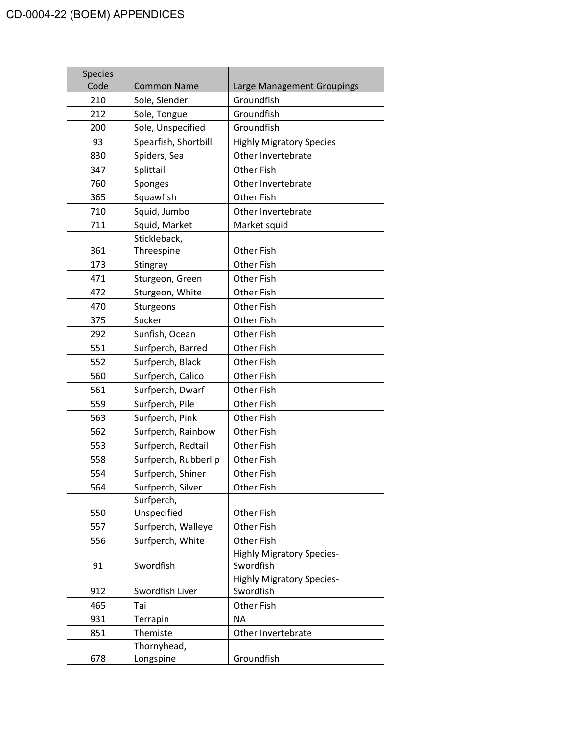| <b>Species</b> |                      |                                               |
|----------------|----------------------|-----------------------------------------------|
| Code<br>210    | <b>Common Name</b>   | Large Management Groupings<br>Groundfish      |
|                | Sole, Slender        | Groundfish                                    |
| 212            | Sole, Tongue         | Groundfish                                    |
| 200            | Sole, Unspecified    |                                               |
| 93             | Spearfish, Shortbill | <b>Highly Migratory Species</b>               |
| 830            | Spiders, Sea         | Other Invertebrate                            |
| 347            | Splittail            | <b>Other Fish</b>                             |
| 760            | Sponges              | Other Invertebrate                            |
| 365            | Squawfish            | <b>Other Fish</b>                             |
| 710            | Squid, Jumbo         | Other Invertebrate                            |
| 711            | Squid, Market        | Market squid                                  |
|                | Stickleback,         |                                               |
| 361            | Threespine           | Other Fish                                    |
| 173            | Stingray             | Other Fish                                    |
| 471            | Sturgeon, Green      | Other Fish                                    |
| 472            | Sturgeon, White      | Other Fish                                    |
| 470            | Sturgeons            | Other Fish                                    |
| 375            | Sucker               | Other Fish                                    |
| 292            | Sunfish, Ocean       | Other Fish                                    |
| 551            | Surfperch, Barred    | Other Fish                                    |
| 552            | Surfperch, Black     | Other Fish                                    |
| 560            | Surfperch, Calico    | Other Fish                                    |
| 561            | Surfperch, Dwarf     | Other Fish                                    |
| 559            | Surfperch, Pile      | Other Fish                                    |
| 563            | Surfperch, Pink      | Other Fish                                    |
| 562            | Surfperch, Rainbow   | <b>Other Fish</b>                             |
| 553            | Surfperch, Redtail   | Other Fish                                    |
| 558            | Surfperch, Rubberlip | Other Fish                                    |
| 554            | Surfperch, Shiner    | <b>Other Fish</b>                             |
| 564            | Surfperch, Silver    | <b>Other Fish</b>                             |
|                | Surfperch,           |                                               |
| 550            | Unspecified          | Other Fish                                    |
| 557            | Surfperch, Walleye   | Other Fish                                    |
| 556            | Surfperch, White     | Other Fish                                    |
|                |                      | <b>Highly Migratory Species-</b>              |
| 91             | Swordfish            | Swordfish                                     |
| 912            | Swordfish Liver      | <b>Highly Migratory Species-</b><br>Swordfish |
| 465            | Tai                  | Other Fish                                    |
| 931            | Terrapin             | <b>NA</b>                                     |
| 851            | Themiste             | Other Invertebrate                            |
|                | Thornyhead,          |                                               |
| 678            | Longspine            | Groundfish                                    |
|                |                      |                                               |